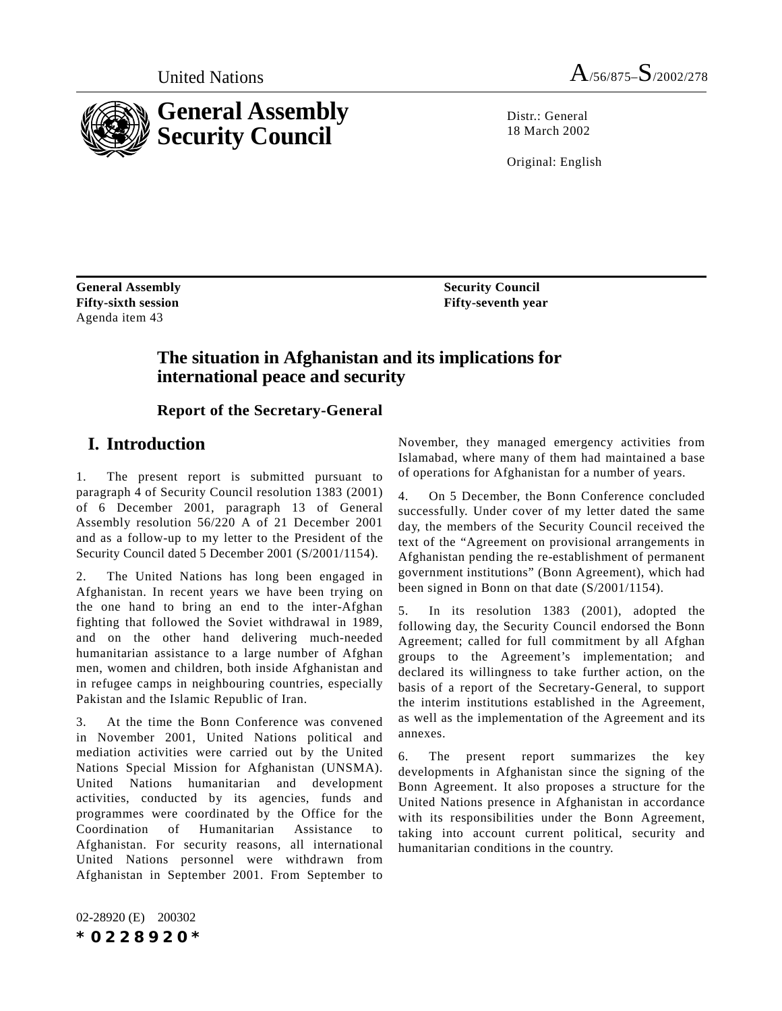

Distr · General 18 March 2002

Original: English

**General Assembly Fifty-sixth session** Agenda item 43

**Security Council Fifty-seventh year**

## **The situation in Afghanistan and its implications for international peace and security**

**Report of the Secretary-General**

# **I. Introduction**

1. The present report is submitted pursuant to paragraph 4 of Security Council resolution 1383 (2001) of 6 December 2001, paragraph 13 of General Assembly resolution 56/220 A of 21 December 2001 and as a follow-up to my letter to the President of the Security Council dated 5 December 2001 (S/2001/1154).

2. The United Nations has long been engaged in Afghanistan. In recent years we have been trying on the one hand to bring an end to the inter-Afghan fighting that followed the Soviet withdrawal in 1989, and on the other hand delivering much-needed humanitarian assistance to a large number of Afghan men, women and children, both inside Afghanistan and in refugee camps in neighbouring countries, especially Pakistan and the Islamic Republic of Iran.

3. At the time the Bonn Conference was convened in November 2001, United Nations political and mediation activities were carried out by the United Nations Special Mission for Afghanistan (UNSMA). United Nations humanitarian and development activities, conducted by its agencies, funds and programmes were coordinated by the Office for the Coordination of Humanitarian Assistance Afghanistan. For security reasons, all international United Nations personnel were withdrawn from Afghanistan in September 2001. From September to

November, they managed emergency activities from Islamabad, where many of them had maintained a base of operations for Afghanistan for a number of years.

4. On 5 December, the Bonn Conference concluded successfully. Under cover of my letter dated the same day, the members of the Security Council received the text of the "Agreement on provisional arrangements in Afghanistan pending the re-establishment of permanent government institutions" (Bonn Agreement), which had been signed in Bonn on that date (S/2001/1154).

5. In its resolution 1383 (2001), adopted the following day, the Security Council endorsed the Bonn Agreement; called for full commitment by all Afghan groups to the Agreement's implementation; and declared its willingness to take further action, on the basis of a report of the Secretary-General, to support the interim institutions established in the Agreement, as well as the implementation of the Agreement and its annexes.

6. The present report summarizes the key developments in Afghanistan since the signing of the Bonn Agreement. It also proposes a structure for the United Nations presence in Afghanistan in accordance with its responsibilities under the Bonn Agreement, taking into account current political, security and humanitarian conditions in the country.

02-28920 (E) 200302 *\*0228920\**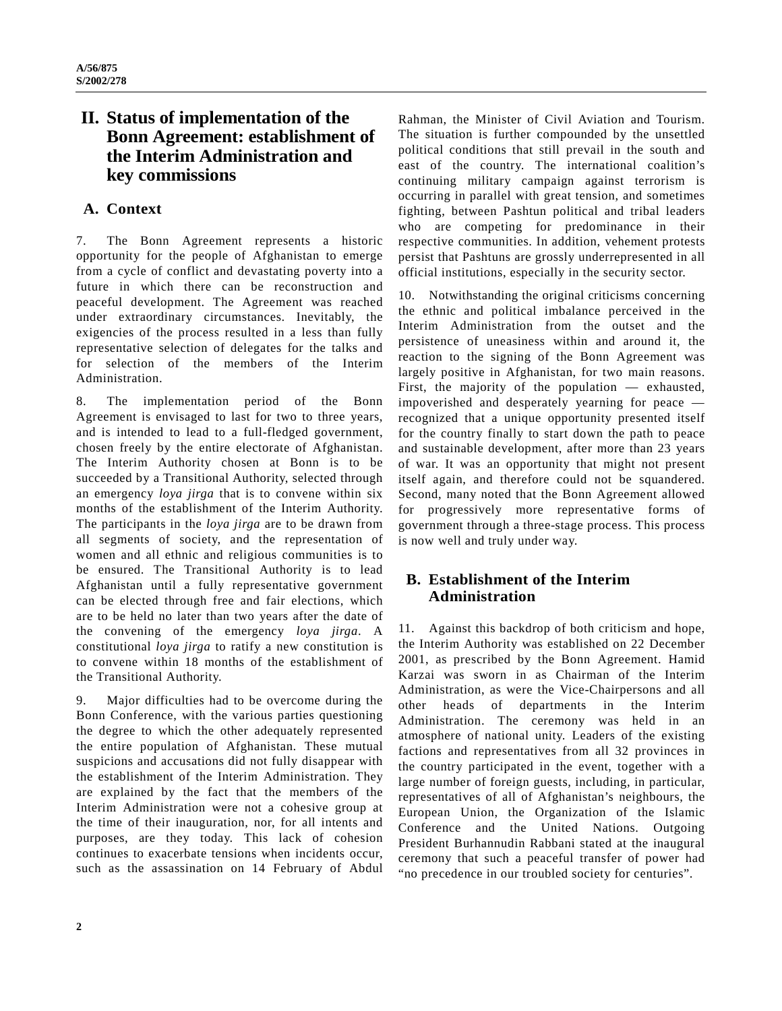# **II. Status of implementation of the Bonn Agreement: establishment of the Interim Administration and key commissions**

## **A. Context**

7. The Bonn Agreement represents a historic opportunity for the people of Afghanistan to emerge from a cycle of conflict and devastating poverty into a future in which there can be reconstruction and peaceful development. The Agreement was reached under extraordinary circumstances. Inevitably, the exigencies of the process resulted in a less than fully representative selection of delegates for the talks and for selection of the members of the Interim Administration.

8. The implementation period of the Bonn Agreement is envisaged to last for two to three years, and is intended to lead to a full-fledged government, chosen freely by the entire electorate of Afghanistan. The Interim Authority chosen at Bonn is to be succeeded by a Transitional Authority, selected through an emergency *loya jirga* that is to convene within six months of the establishment of the Interim Authority. The participants in the *loya jirga* are to be drawn from all segments of society, and the representation of women and all ethnic and religious communities is to be ensured. The Transitional Authority is to lead Afghanistan until a fully representative government can be elected through free and fair elections, which are to be held no later than two years after the date of the convening of the emergency *loya jirga*. A constitutional *loya jirga* to ratify a new constitution is to convene within 18 months of the establishment of the Transitional Authority.

9. Major difficulties had to be overcome during the Bonn Conference, with the various parties questioning the degree to which the other adequately represented the entire population of Afghanistan. These mutual suspicions and accusations did not fully disappear with the establishment of the Interim Administration. They are explained by the fact that the members of the Interim Administration were not a cohesive group at the time of their inauguration, nor, for all intents and purposes, are they today. This lack of cohesion continues to exacerbate tensions when incidents occur, such as the assassination on 14 February of Abdul Rahman, the Minister of Civil Aviation and Tourism. The situation is further compounded by the unsettled political conditions that still prevail in the south and east of the country. The international coalition's continuing military campaign against terrorism is occurring in parallel with great tension, and sometimes fighting, between Pashtun political and tribal leaders who are competing for predominance in their respective communities. In addition, vehement protests persist that Pashtuns are grossly underrepresented in all official institutions, especially in the security sector.

10. Notwithstanding the original criticisms concerning the ethnic and political imbalance perceived in the Interim Administration from the outset and the persistence of uneasiness within and around it, the reaction to the signing of the Bonn Agreement was largely positive in Afghanistan, for two main reasons. First, the majority of the population — exhausted, impoverished and desperately yearning for peace recognized that a unique opportunity presented itself for the country finally to start down the path to peace and sustainable development, after more than 23 years of war. It was an opportunity that might not present itself again, and therefore could not be squandered. Second, many noted that the Bonn Agreement allowed for progressively more representative forms of government through a three-stage process. This process is now well and truly under way.

## **B. Establishment of the Interim Administration**

11. Against this backdrop of both criticism and hope, the Interim Authority was established on 22 December 2001, as prescribed by the Bonn Agreement. Hamid Karzai was sworn in as Chairman of the Interim Administration, as were the Vice-Chairpersons and all other heads of departments in the Interim Administration. The ceremony was held in an atmosphere of national unity. Leaders of the existing factions and representatives from all 32 provinces in the country participated in the event, together with a large number of foreign guests, including, in particular, representatives of all of Afghanistan's neighbours, the European Union, the Organization of the Islamic Conference and the United Nations. Outgoing President Burhannudin Rabbani stated at the inaugural ceremony that such a peaceful transfer of power had "no precedence in our troubled society for centuries".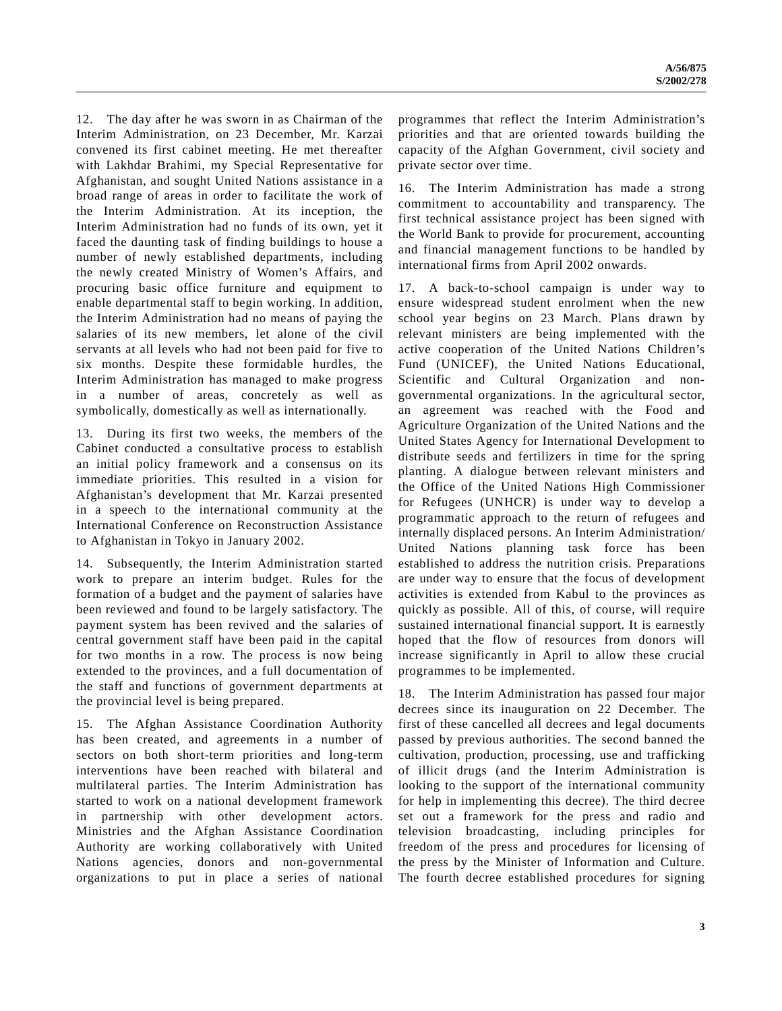12. The day after he was sworn in as Chairman of the Interim Administration, on 23 December, Mr. Karzai convened its first cabinet meeting. He met thereafter with Lakhdar Brahimi, my Special Representative for Afghanistan, and sought United Nations assistance in a broad range of areas in order to facilitate the work of the Interim Administration. At its inception, the Interim Administration had no funds of its own, yet it faced the daunting task of finding buildings to house a number of newly established departments, including the newly created Ministry of Women's Affairs, and procuring basic office furniture and equipment to enable departmental staff to begin working. In addition, the Interim Administration had no means of paying the salaries of its new members, let alone of the civil servants at all levels who had not been paid for five to six months. Despite these formidable hurdles, the Interim Administration has managed to make progress in a number of areas, concretely as well as symbolically, domestically as well as internationally.

13. During its first two weeks, the members of the Cabinet conducted a consultative process to establish an initial policy framework and a consensus on its immediate priorities. This resulted in a vision for Afghanistan's development that Mr. Karzai presented in a speech to the international community at the International Conference on Reconstruction Assistance to Afghanistan in Tokyo in January 2002.

14. Subsequently, the Interim Administration started work to prepare an interim budget. Rules for the formation of a budget and the payment of salaries have been reviewed and found to be largely satisfactory. The payment system has been revived and the salaries of central government staff have been paid in the capital for two months in a row. The process is now being extended to the provinces, and a full documentation of the staff and functions of government departments at the provincial level is being prepared.

15. The Afghan Assistance Coordination Authority has been created, and agreements in a number of sectors on both short-term priorities and long-term interventions have been reached with bilateral and multilateral parties. The Interim Administration has started to work on a national development framework in partnership with other development actors. Ministries and the Afghan Assistance Coordination Authority are working collaboratively with United Nations agencies, donors and non-governmental organizations to put in place a series of national programmes that reflect the Interim Administration's priorities and that are oriented towards building the capacity of the Afghan Government, civil society and private sector over time.

16. The Interim Administration has made a strong commitment to accountability and transparency. The first technical assistance project has been signed with the World Bank to provide for procurement, accounting and financial management functions to be handled by international firms from April 2002 onwards.

17. A back-to-school campaign is under way to ensure widespread student enrolment when the new school year begins on 23 March. Plans drawn by relevant ministers are being implemented with the active cooperation of the United Nations Children's Fund (UNICEF), the United Nations Educational, Scientific and Cultural Organization and nongovernmental organizations. In the agricultural sector, an agreement was reached with the Food and Agriculture Organization of the United Nations and the United States Agency for International Development to distribute seeds and fertilizers in time for the spring planting. A dialogue between relevant ministers and the Office of the United Nations High Commissioner for Refugees (UNHCR) is under way to develop a programmatic approach to the return of refugees and internally displaced persons. An Interim Administration/ United Nations planning task force has been established to address the nutrition crisis. Preparations are under way to ensure that the focus of development activities is extended from Kabul to the provinces as quickly as possible. All of this, of course, will require sustained international financial support. It is earnestly hoped that the flow of resources from donors will increase significantly in April to allow these crucial programmes to be implemented.

18. The Interim Administration has passed four major decrees since its inauguration on 22 December. The first of these cancelled all decrees and legal documents passed by previous authorities. The second banned the cultivation, production, processing, use and trafficking of illicit drugs (and the Interim Administration is looking to the support of the international community for help in implementing this decree). The third decree set out a framework for the press and radio and television broadcasting, including principles for freedom of the press and procedures for licensing of the press by the Minister of Information and Culture. The fourth decree established procedures for signing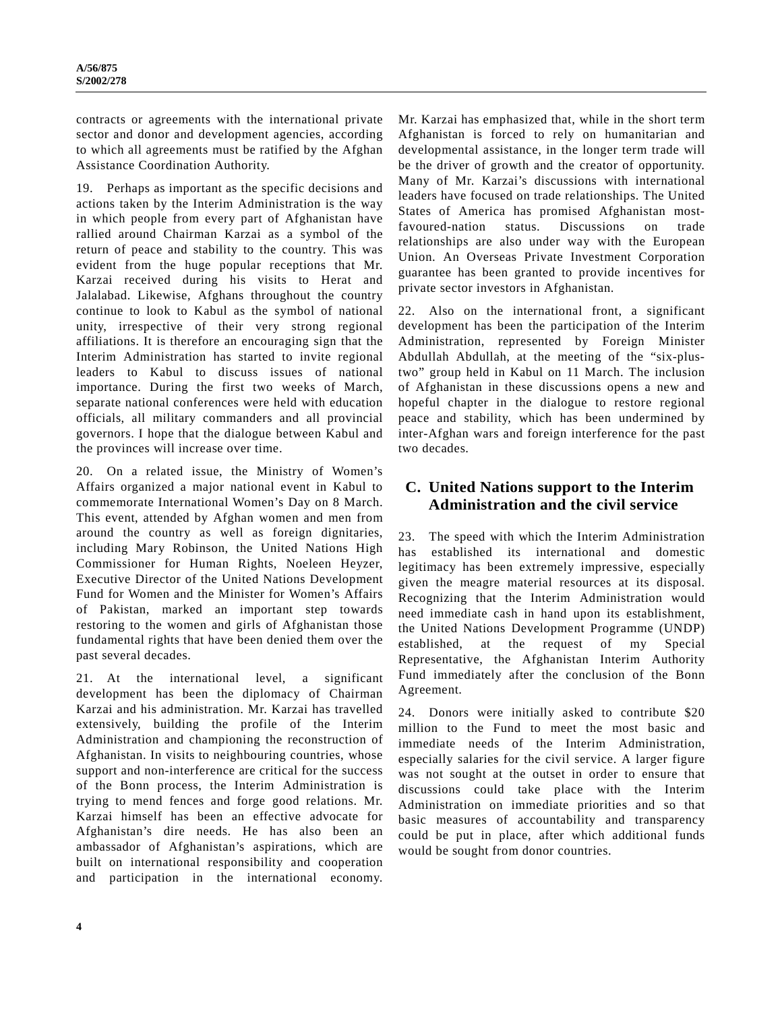contracts or agreements with the international private sector and donor and development agencies, according to which all agreements must be ratified by the Afghan Assistance Coordination Authority.

19. Perhaps as important as the specific decisions and actions taken by the Interim Administration is the way in which people from every part of Afghanistan have rallied around Chairman Karzai as a symbol of the return of peace and stability to the country. This was evident from the huge popular receptions that Mr. Karzai received during his visits to Herat and Jalalabad. Likewise, Afghans throughout the country continue to look to Kabul as the symbol of national unity, irrespective of their very strong regional affiliations. It is therefore an encouraging sign that the Interim Administration has started to invite regional leaders to Kabul to discuss issues of national importance. During the first two weeks of March, separate national conferences were held with education officials, all military commanders and all provincial governors. I hope that the dialogue between Kabul and the provinces will increase over time.

20. On a related issue, the Ministry of Women's Affairs organized a major national event in Kabul to commemorate International Women's Day on 8 March. This event, attended by Afghan women and men from around the country as well as foreign dignitaries, including Mary Robinson, the United Nations High Commissioner for Human Rights, Noeleen Heyzer, Executive Director of the United Nations Development Fund for Women and the Minister for Women's Affairs of Pakistan, marked an important step towards restoring to the women and girls of Afghanistan those fundamental rights that have been denied them over the past several decades.

21. At the international level, a significant development has been the diplomacy of Chairman Karzai and his administration. Mr. Karzai has travelled extensively, building the profile of the Interim Administration and championing the reconstruction of Afghanistan. In visits to neighbouring countries, whose support and non-interference are critical for the success of the Bonn process, the Interim Administration is trying to mend fences and forge good relations. Mr. Karzai himself has been an effective advocate for Afghanistan's dire needs. He has also been an ambassador of Afghanistan's aspirations, which are built on international responsibility and cooperation and participation in the international economy.

Mr. Karzai has emphasized that, while in the short term Afghanistan is forced to rely on humanitarian and developmental assistance, in the longer term trade will be the driver of growth and the creator of opportunity. Many of Mr. Karzai's discussions with international leaders have focused on trade relationships. The United States of America has promised Afghanistan mostfavoured-nation status. Discussions on trade relationships are also under way with the European Union. An Overseas Private Investment Corporation guarantee has been granted to provide incentives for private sector investors in Afghanistan.

22. Also on the international front, a significant development has been the participation of the Interim Administration, represented by Foreign Minister Abdullah Abdullah, at the meeting of the "six-plustwo" group held in Kabul on 11 March. The inclusion of Afghanistan in these discussions opens a new and hopeful chapter in the dialogue to restore regional peace and stability, which has been undermined by inter-Afghan wars and foreign interference for the past two decades.

## **C. United Nations support to the Interim Administration and the civil service**

23. The speed with which the Interim Administration has established its international and domestic legitimacy has been extremely impressive, especially given the meagre material resources at its disposal. Recognizing that the Interim Administration would need immediate cash in hand upon its establishment, the United Nations Development Programme (UNDP) established, at the request of my Special Representative, the Afghanistan Interim Authority Fund immediately after the conclusion of the Bonn Agreement.

24. Donors were initially asked to contribute \$20 million to the Fund to meet the most basic and immediate needs of the Interim Administration, especially salaries for the civil service. A larger figure was not sought at the outset in order to ensure that discussions could take place with the Interim Administration on immediate priorities and so that basic measures of accountability and transparency could be put in place, after which additional funds would be sought from donor countries.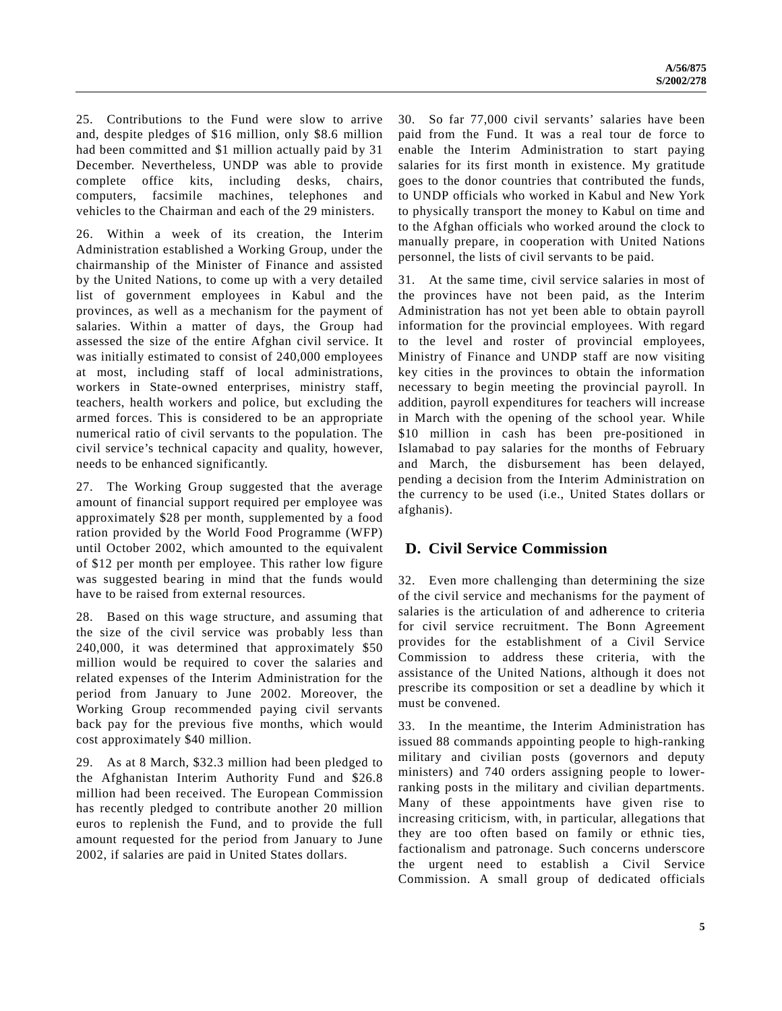25. Contributions to the Fund were slow to arrive and, despite pledges of \$16 million, only \$8.6 million had been committed and \$1 million actually paid by 31 December. Nevertheless, UNDP was able to provide complete office kits, including desks, chairs, computers, facsimile machines, telephones and vehicles to the Chairman and each of the 29 ministers.

26. Within a week of its creation, the Interim Administration established a Working Group, under the chairmanship of the Minister of Finance and assisted by the United Nations, to come up with a very detailed list of government employees in Kabul and the provinces, as well as a mechanism for the payment of salaries. Within a matter of days, the Group had assessed the size of the entire Afghan civil service. It was initially estimated to consist of 240,000 employees at most, including staff of local administrations, workers in State-owned enterprises, ministry staff, teachers, health workers and police, but excluding the armed forces. This is considered to be an appropriate numerical ratio of civil servants to the population. The civil service's technical capacity and quality, however, needs to be enhanced significantly.

27. The Working Group suggested that the average amount of financial support required per employee was approximately \$28 per month, supplemented by a food ration provided by the World Food Programme (WFP) until October 2002, which amounted to the equivalent of \$12 per month per employee. This rather low figure was suggested bearing in mind that the funds would have to be raised from external resources.

28. Based on this wage structure, and assuming that the size of the civil service was probably less than 240,000, it was determined that approximately \$50 million would be required to cover the salaries and related expenses of the Interim Administration for the period from January to June 2002. Moreover, the Working Group recommended paying civil servants back pay for the previous five months, which would cost approximately \$40 million.

29. As at 8 March, \$32.3 million had been pledged to the Afghanistan Interim Authority Fund and \$26.8 million had been received. The European Commission has recently pledged to contribute another 20 million euros to replenish the Fund, and to provide the full amount requested for the period from January to June 2002, if salaries are paid in United States dollars.

30. So far 77,000 civil servants' salaries have been paid from the Fund. It was a real tour de force to enable the Interim Administration to start paying salaries for its first month in existence. My gratitude goes to the donor countries that contributed the funds, to UNDP officials who worked in Kabul and New York to physically transport the money to Kabul on time and to the Afghan officials who worked around the clock to manually prepare, in cooperation with United Nations personnel, the lists of civil servants to be paid.

31. At the same time, civil service salaries in most of the provinces have not been paid, as the Interim Administration has not yet been able to obtain payroll information for the provincial employees. With regard to the level and roster of provincial employees, Ministry of Finance and UNDP staff are now visiting key cities in the provinces to obtain the information necessary to begin meeting the provincial payroll. In addition, payroll expenditures for teachers will increase in March with the opening of the school year. While \$10 million in cash has been pre-positioned in Islamabad to pay salaries for the months of February and March, the disbursement has been delayed, pending a decision from the Interim Administration on the currency to be used (i.e., United States dollars or afghanis).

## **D. Civil Service Commission**

32. Even more challenging than determining the size of the civil service and mechanisms for the payment of salaries is the articulation of and adherence to criteria for civil service recruitment. The Bonn Agreement provides for the establishment of a Civil Service Commission to address these criteria, with the assistance of the United Nations, although it does not prescribe its composition or set a deadline by which it must be convened.

33. In the meantime, the Interim Administration has issued 88 commands appointing people to high-ranking military and civilian posts (governors and deputy ministers) and 740 orders assigning people to lowerranking posts in the military and civilian departments. Many of these appointments have given rise to increasing criticism, with, in particular, allegations that they are too often based on family or ethnic ties, factionalism and patronage. Such concerns underscore the urgent need to establish a Civil Service Commission. A small group of dedicated officials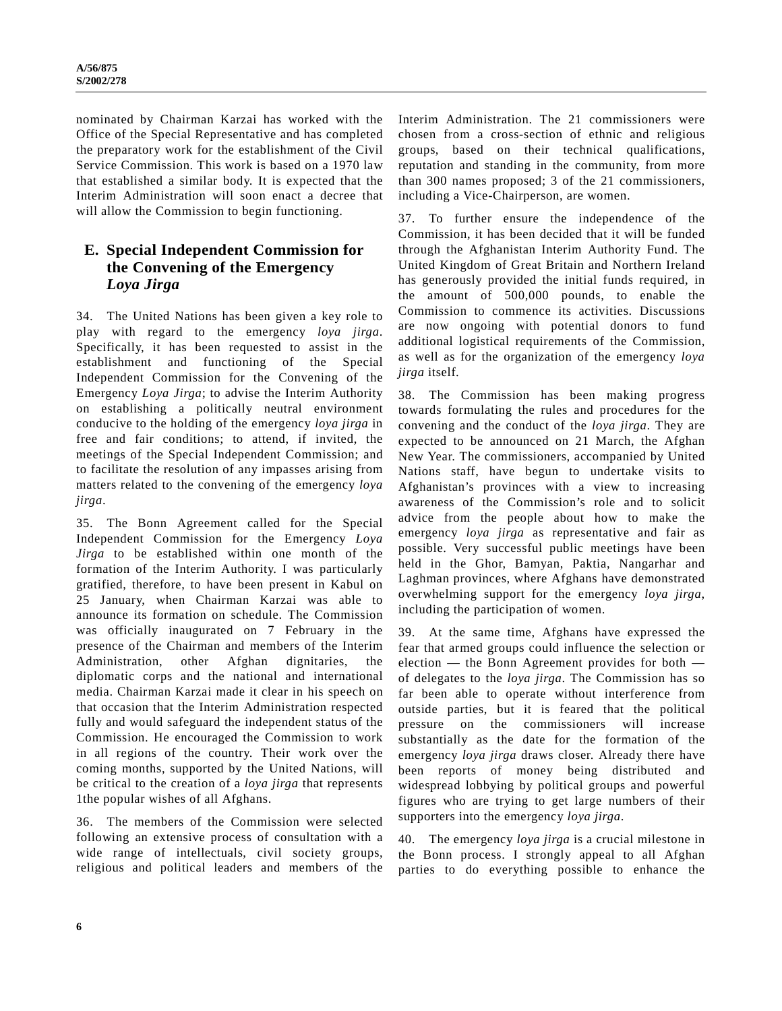nominated by Chairman Karzai has worked with the Office of the Special Representative and has completed the preparatory work for the establishment of the Civil Service Commission. This work is based on a 1970 law that established a similar body. It is expected that the Interim Administration will soon enact a decree that will allow the Commission to begin functioning.

## **E. Special Independent Commission for the Convening of the Emergency** *Loya Jirga*

34. The United Nations has been given a key role to play with regard to the emergency *loya jirga*. Specifically, it has been requested to assist in the establishment and functioning of the Special Independent Commission for the Convening of the Emergency *Loya Jirga*; to advise the Interim Authority on establishing a politically neutral environment conducive to the holding of the emergency *loya jirga* in free and fair conditions; to attend, if invited, the meetings of the Special Independent Commission; and to facilitate the resolution of any impasses arising from matters related to the convening of the emergency *loya jirga*.

35. The Bonn Agreement called for the Special Independent Commission for the Emergency *Loya Jirga* to be established within one month of the formation of the Interim Authority. I was particularly gratified, therefore, to have been present in Kabul on 25 January, when Chairman Karzai was able to announce its formation on schedule. The Commission was officially inaugurated on 7 February in the presence of the Chairman and members of the Interim Administration, other Afghan dignitaries, the diplomatic corps and the national and international media. Chairman Karzai made it clear in his speech on that occasion that the Interim Administration respected fully and would safeguard the independent status of the Commission. He encouraged the Commission to work in all regions of the country. Their work over the coming months, supported by the United Nations, will be critical to the creation of a *loya jirga* that represents 1the popular wishes of all Afghans.

36. The members of the Commission were selected following an extensive process of consultation with a wide range of intellectuals, civil society groups, religious and political leaders and members of the Interim Administration. The 21 commissioners were chosen from a cross-section of ethnic and religious groups, based on their technical qualifications, reputation and standing in the community, from more than 300 names proposed; 3 of the 21 commissioners, including a Vice-Chairperson, are women.

37. To further ensure the independence of the Commission, it has been decided that it will be funded through the Afghanistan Interim Authority Fund. The United Kingdom of Great Britain and Northern Ireland has generously provided the initial funds required, in the amount of 500,000 pounds, to enable the Commission to commence its activities. Discussions are now ongoing with potential donors to fund additional logistical requirements of the Commission, as well as for the organization of the emergency *loya jirga* itself.

38. The Commission has been making progress towards formulating the rules and procedures for the convening and the conduct of the *loya jirga*. They are expected to be announced on 21 March, the Afghan New Year. The commissioners, accompanied by United Nations staff, have begun to undertake visits to Afghanistan's provinces with a view to increasing awareness of the Commission's role and to solicit advice from the people about how to make the emergency *loya jirga* as representative and fair as possible. Very successful public meetings have been held in the Ghor, Bamyan, Paktia, Nangarhar and Laghman provinces, where Afghans have demonstrated overwhelming support for the emergency *loya jirga*, including the participation of women.

39. At the same time, Afghans have expressed the fear that armed groups could influence the selection or election — the Bonn Agreement provides for both of delegates to the *loya jirga*. The Commission has so far been able to operate without interference from outside parties, but it is feared that the political pressure on the commissioners will increase substantially as the date for the formation of the emergency *loya jirga* draws closer. Already there have been reports of money being distributed and widespread lobbying by political groups and powerful figures who are trying to get large numbers of their supporters into the emergency *loya jirga*.

40. The emergency *loya jirga* is a crucial milestone in the Bonn process. I strongly appeal to all Afghan parties to do everything possible to enhance the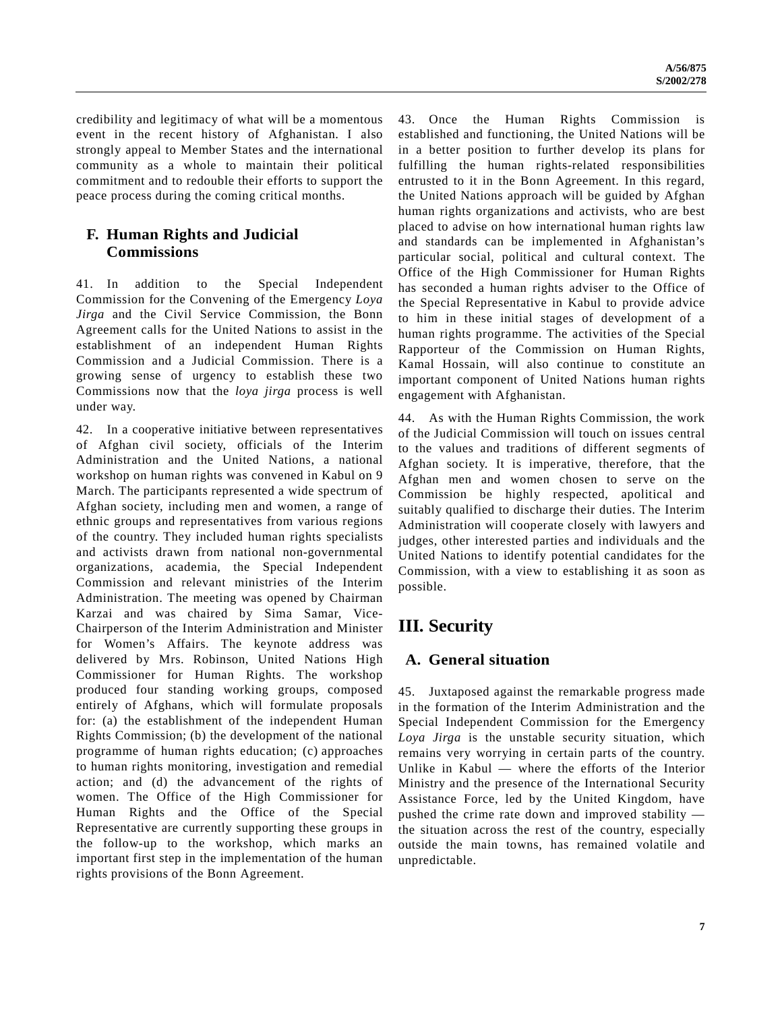credibility and legitimacy of what will be a momentous event in the recent history of Afghanistan. I also strongly appeal to Member States and the international community as a whole to maintain their political commitment and to redouble their efforts to support the peace process during the coming critical months.

## **F. Human Rights and Judicial Commissions**

41. In addition to the Special Independent Commission for the Convening of the Emergency *Loya Jirga* and the Civil Service Commission, the Bonn Agreement calls for the United Nations to assist in the establishment of an independent Human Rights Commission and a Judicial Commission. There is a growing sense of urgency to establish these two Commissions now that the *loya jirga* process is well under way.

42. In a cooperative initiative between representatives of Afghan civil society, officials of the Interim Administration and the United Nations, a national workshop on human rights was convened in Kabul on 9 March. The participants represented a wide spectrum of Afghan society, including men and women, a range of ethnic groups and representatives from various regions of the country. They included human rights specialists and activists drawn from national non-governmental organizations, academia, the Special Independent Commission and relevant ministries of the Interim Administration. The meeting was opened by Chairman Karzai and was chaired by Sima Samar, Vice-Chairperson of the Interim Administration and Minister for Women's Affairs. The keynote address was delivered by Mrs. Robinson, United Nations High Commissioner for Human Rights. The workshop produced four standing working groups, composed entirely of Afghans, which will formulate proposals for: (a) the establishment of the independent Human Rights Commission; (b) the development of the national programme of human rights education; (c) approaches to human rights monitoring, investigation and remedial action; and (d) the advancement of the rights of women. The Office of the High Commissioner for Human Rights and the Office of the Special Representative are currently supporting these groups in the follow-up to the workshop, which marks an important first step in the implementation of the human rights provisions of the Bonn Agreement.

43. Once the Human Rights Commission is established and functioning, the United Nations will be in a better position to further develop its plans for fulfilling the human rights-related responsibilities entrusted to it in the Bonn Agreement. In this regard, the United Nations approach will be guided by Afghan human rights organizations and activists, who are best placed to advise on how international human rights law and standards can be implemented in Afghanistan's particular social, political and cultural context. The Office of the High Commissioner for Human Rights has seconded a human rights adviser to the Office of the Special Representative in Kabul to provide advice to him in these initial stages of development of a human rights programme. The activities of the Special Rapporteur of the Commission on Human Rights, Kamal Hossain, will also continue to constitute an important component of United Nations human rights engagement with Afghanistan.

44. As with the Human Rights Commission, the work of the Judicial Commission will touch on issues central to the values and traditions of different segments of Afghan society. It is imperative, therefore, that the Afghan men and women chosen to serve on the Commission be highly respected, apolitical and suitably qualified to discharge their duties. The Interim Administration will cooperate closely with lawyers and judges, other interested parties and individuals and the United Nations to identify potential candidates for the Commission, with a view to establishing it as soon as possible.

# **III. Security**

## **A. General situation**

45. Juxtaposed against the remarkable progress made in the formation of the Interim Administration and the Special Independent Commission for the Emergency *Loya Jirga* is the unstable security situation, which remains very worrying in certain parts of the country. Unlike in Kabul — where the efforts of the Interior Ministry and the presence of the International Security Assistance Force, led by the United Kingdom, have pushed the crime rate down and improved stability the situation across the rest of the country, especially outside the main towns, has remained volatile and unpredictable.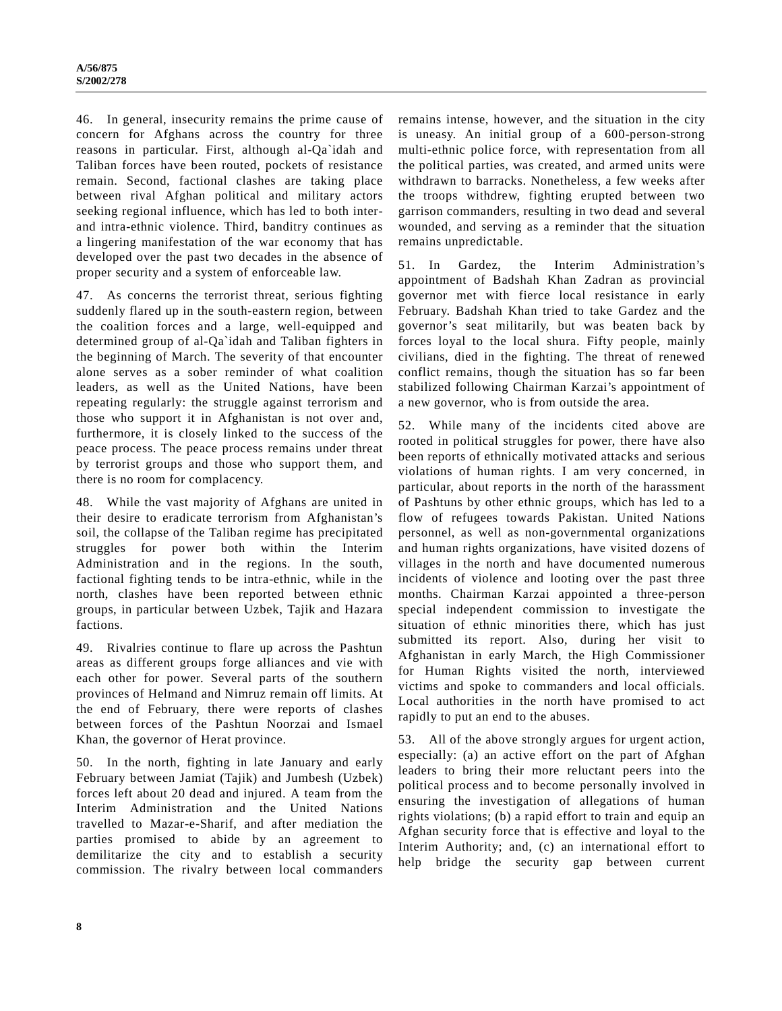46. In general, insecurity remains the prime cause of concern for Afghans across the country for three reasons in particular. First, although al-Qa`idah and Taliban forces have been routed, pockets of resistance remain. Second, factional clashes are taking place between rival Afghan political and military actors seeking regional influence, which has led to both interand intra-ethnic violence. Third, banditry continues as a lingering manifestation of the war economy that has developed over the past two decades in the absence of proper security and a system of enforceable law.

47. As concerns the terrorist threat, serious fighting suddenly flared up in the south-eastern region, between the coalition forces and a large, well-equipped and determined group of al-Qa`idah and Taliban fighters in the beginning of March. The severity of that encounter alone serves as a sober reminder of what coalition leaders, as well as the United Nations, have been repeating regularly: the struggle against terrorism and those who support it in Afghanistan is not over and, furthermore, it is closely linked to the success of the peace process. The peace process remains under threat by terrorist groups and those who support them, and there is no room for complacency.

48. While the vast majority of Afghans are united in their desire to eradicate terrorism from Afghanistan's soil, the collapse of the Taliban regime has precipitated struggles for power both within the Interim Administration and in the regions. In the south, factional fighting tends to be intra-ethnic, while in the north, clashes have been reported between ethnic groups, in particular between Uzbek, Tajik and Hazara factions.

49. Rivalries continue to flare up across the Pashtun areas as different groups forge alliances and vie with each other for power. Several parts of the southern provinces of Helmand and Nimruz remain off limits. At the end of February, there were reports of clashes between forces of the Pashtun Noorzai and Ismael Khan, the governor of Herat province.

50. In the north, fighting in late January and early February between Jamiat (Tajik) and Jumbesh (Uzbek) forces left about 20 dead and injured. A team from the Interim Administration and the United Nations travelled to Mazar-e-Sharif, and after mediation the parties promised to abide by an agreement to demilitarize the city and to establish a security commission. The rivalry between local commanders

remains intense, however, and the situation in the city is uneasy. An initial group of a 600-person-strong multi-ethnic police force, with representation from all the political parties, was created, and armed units were withdrawn to barracks. Nonetheless, a few weeks after the troops withdrew, fighting erupted between two garrison commanders, resulting in two dead and several wounded, and serving as a reminder that the situation remains unpredictable.

51. In Gardez, the Interim Administration's appointment of Badshah Khan Zadran as provincial governor met with fierce local resistance in early February. Badshah Khan tried to take Gardez and the governor's seat militarily, but was beaten back by forces loyal to the local shura. Fifty people, mainly civilians, died in the fighting. The threat of renewed conflict remains, though the situation has so far been stabilized following Chairman Karzai's appointment of a new governor, who is from outside the area.

52. While many of the incidents cited above are rooted in political struggles for power, there have also been reports of ethnically motivated attacks and serious violations of human rights. I am very concerned, in particular, about reports in the north of the harassment of Pashtuns by other ethnic groups, which has led to a flow of refugees towards Pakistan. United Nations personnel, as well as non-governmental organizations and human rights organizations, have visited dozens of villages in the north and have documented numerous incidents of violence and looting over the past three months. Chairman Karzai appointed a three-person special independent commission to investigate the situation of ethnic minorities there, which has just submitted its report. Also, during her visit to Afghanistan in early March, the High Commissioner for Human Rights visited the north, interviewed victims and spoke to commanders and local officials. Local authorities in the north have promised to act rapidly to put an end to the abuses.

53. All of the above strongly argues for urgent action, especially: (a) an active effort on the part of Afghan leaders to bring their more reluctant peers into the political process and to become personally involved in ensuring the investigation of allegations of human rights violations; (b) a rapid effort to train and equip an Afghan security force that is effective and loyal to the Interim Authority; and, (c) an international effort to help bridge the security gap between current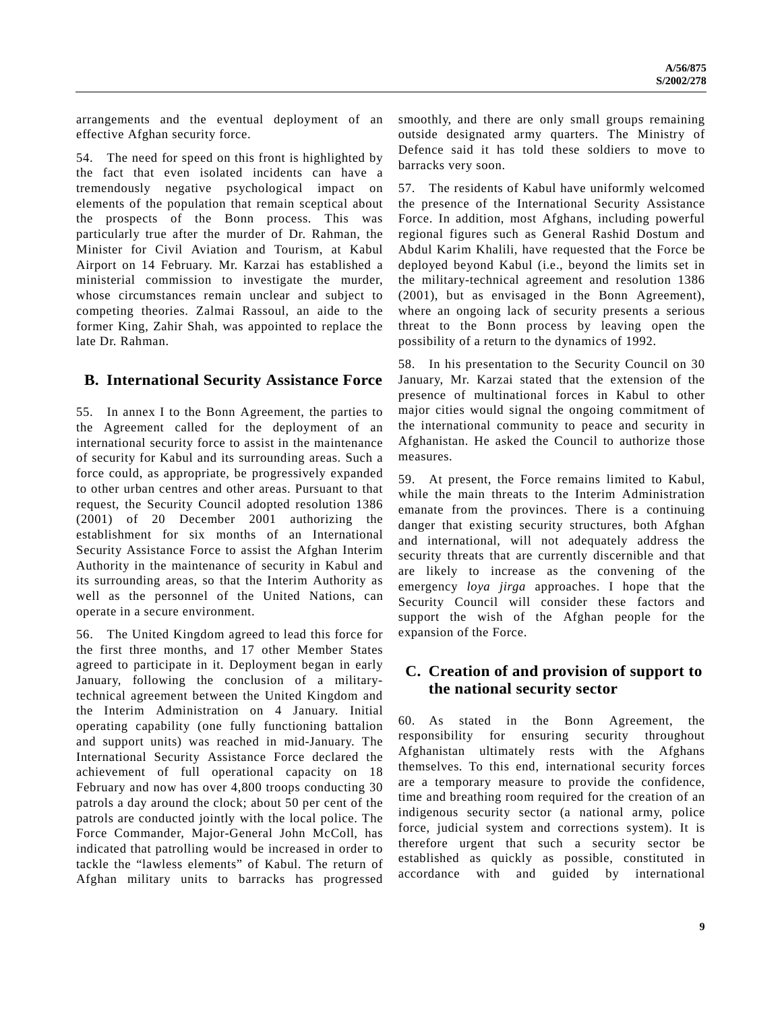arrangements and the eventual deployment of an effective Afghan security force.

54. The need for speed on this front is highlighted by the fact that even isolated incidents can have a tremendously negative psychological impact on elements of the population that remain sceptical about the prospects of the Bonn process. This was particularly true after the murder of Dr. Rahman, the Minister for Civil Aviation and Tourism, at Kabul Airport on 14 February. Mr. Karzai has established a ministerial commission to investigate the murder, whose circumstances remain unclear and subject to competing theories. Zalmai Rassoul, an aide to the former King, Zahir Shah, was appointed to replace the late Dr. Rahman.

### **B. International Security Assistance Force**

55. In annex I to the Bonn Agreement, the parties to the Agreement called for the deployment of an international security force to assist in the maintenance of security for Kabul and its surrounding areas. Such a force could, as appropriate, be progressively expanded to other urban centres and other areas. Pursuant to that request, the Security Council adopted resolution 1386 (2001) of 20 December 2001 authorizing the establishment for six months of an International Security Assistance Force to assist the Afghan Interim Authority in the maintenance of security in Kabul and its surrounding areas, so that the Interim Authority as well as the personnel of the United Nations, can operate in a secure environment.

56. The United Kingdom agreed to lead this force for the first three months, and 17 other Member States agreed to participate in it. Deployment began in early January, following the conclusion of a militarytechnical agreement between the United Kingdom and the Interim Administration on 4 January. Initial operating capability (one fully functioning battalion and support units) was reached in mid-January. The International Security Assistance Force declared the achievement of full operational capacity on 18 February and now has over 4,800 troops conducting 30 patrols a day around the clock; about 50 per cent of the patrols are conducted jointly with the local police. The Force Commander, Major-General John McColl, has indicated that patrolling would be increased in order to tackle the "lawless elements" of Kabul. The return of Afghan military units to barracks has progressed

smoothly, and there are only small groups remaining outside designated army quarters. The Ministry of Defence said it has told these soldiers to move to barracks very soon.

57. The residents of Kabul have uniformly welcomed the presence of the International Security Assistance Force. In addition, most Afghans, including powerful regional figures such as General Rashid Dostum and Abdul Karim Khalili, have requested that the Force be deployed beyond Kabul (i.e., beyond the limits set in the military-technical agreement and resolution 1386 (2001), but as envisaged in the Bonn Agreement), where an ongoing lack of security presents a serious threat to the Bonn process by leaving open the possibility of a return to the dynamics of 1992.

58. In his presentation to the Security Council on 30 January, Mr. Karzai stated that the extension of the presence of multinational forces in Kabul to other major cities would signal the ongoing commitment of the international community to peace and security in Afghanistan. He asked the Council to authorize those measures.

59. At present, the Force remains limited to Kabul, while the main threats to the Interim Administration emanate from the provinces. There is a continuing danger that existing security structures, both Afghan and international, will not adequately address the security threats that are currently discernible and that are likely to increase as the convening of the emergency *loya jirga* approaches. I hope that the Security Council will consider these factors and support the wish of the Afghan people for the expansion of the Force.

## **C. Creation of and provision of support to the national security sector**

60. As stated in the Bonn Agreement, the responsibility for ensuring security throughout Afghanistan ultimately rests with the Afghans themselves. To this end, international security forces are a temporary measure to provide the confidence, time and breathing room required for the creation of an indigenous security sector (a national army, police force, judicial system and corrections system). It is therefore urgent that such a security sector be established as quickly as possible, constituted in accordance with and guided by international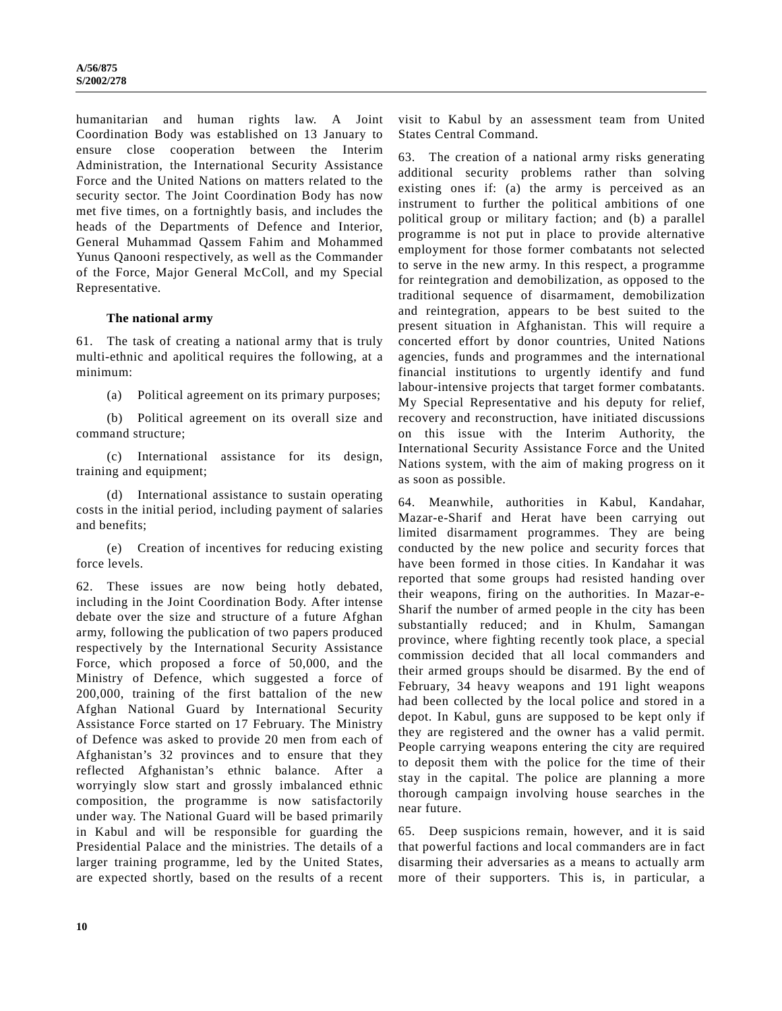humanitarian and human rights law. A Joint Coordination Body was established on 13 January to ensure close cooperation between the Interim Administration, the International Security Assistance Force and the United Nations on matters related to the security sector. The Joint Coordination Body has now met five times, on a fortnightly basis, and includes the heads of the Departments of Defence and Interior, General Muhammad Qassem Fahim and Mohammed Yunus Qanooni respectively, as well as the Commander of the Force, Major General McColl, and my Special Representative.

#### **The national army**

61. The task of creating a national army that is truly multi-ethnic and apolitical requires the following, at a minimum:

(a) Political agreement on its primary purposes;

(b) Political agreement on its overall size and command structure;

(c) International assistance for its design, training and equipment;

(d) International assistance to sustain operating costs in the initial period, including payment of salaries and benefits;

(e) Creation of incentives for reducing existing force levels.

62. These issues are now being hotly debated, including in the Joint Coordination Body. After intense debate over the size and structure of a future Afghan army, following the publication of two papers produced respectively by the International Security Assistance Force, which proposed a force of 50,000, and the Ministry of Defence, which suggested a force of 200,000, training of the first battalion of the new Afghan National Guard by International Security Assistance Force started on 17 February. The Ministry of Defence was asked to provide 20 men from each of Afghanistan's 32 provinces and to ensure that they reflected Afghanistan's ethnic balance. After a worryingly slow start and grossly imbalanced ethnic composition, the programme is now satisfactorily under way. The National Guard will be based primarily in Kabul and will be responsible for guarding the Presidential Palace and the ministries. The details of a larger training programme, led by the United States, are expected shortly, based on the results of a recent

visit to Kabul by an assessment team from United States Central Command.

63. The creation of a national army risks generating additional security problems rather than solving existing ones if: (a) the army is perceived as an instrument to further the political ambitions of one political group or military faction; and (b) a parallel programme is not put in place to provide alternative employment for those former combatants not selected to serve in the new army. In this respect, a programme for reintegration and demobilization, as opposed to the traditional sequence of disarmament, demobilization and reintegration, appears to be best suited to the present situation in Afghanistan. This will require a concerted effort by donor countries, United Nations agencies, funds and programmes and the international financial institutions to urgently identify and fund labour-intensive projects that target former combatants. My Special Representative and his deputy for relief, recovery and reconstruction, have initiated discussions on this issue with the Interim Authority, the International Security Assistance Force and the United Nations system, with the aim of making progress on it as soon as possible.

64. Meanwhile, authorities in Kabul, Kandahar, Mazar-e-Sharif and Herat have been carrying out limited disarmament programmes. They are being conducted by the new police and security forces that have been formed in those cities. In Kandahar it was reported that some groups had resisted handing over their weapons, firing on the authorities. In Mazar-e-Sharif the number of armed people in the city has been substantially reduced; and in Khulm, Samangan province, where fighting recently took place, a special commission decided that all local commanders and their armed groups should be disarmed. By the end of February, 34 heavy weapons and 191 light weapons had been collected by the local police and stored in a depot. In Kabul, guns are supposed to be kept only if they are registered and the owner has a valid permit. People carrying weapons entering the city are required to deposit them with the police for the time of their stay in the capital. The police are planning a more thorough campaign involving house searches in the near future.

65. Deep suspicions remain, however, and it is said that powerful factions and local commanders are in fact disarming their adversaries as a means to actually arm more of their supporters. This is, in particular, a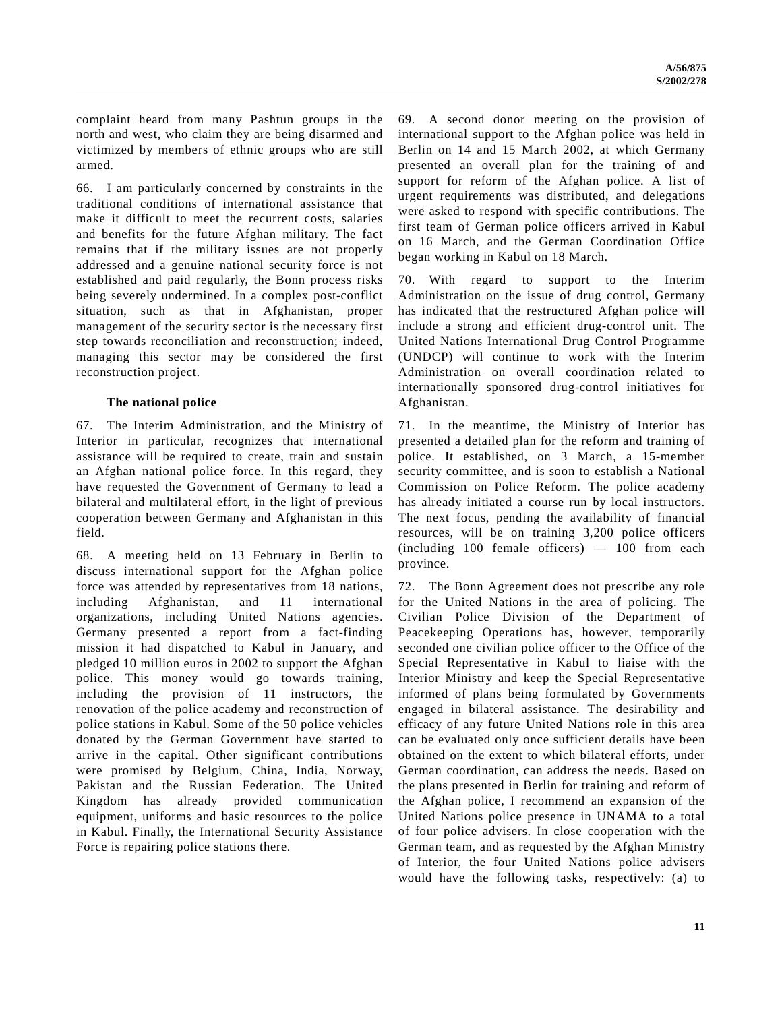complaint heard from many Pashtun groups in the north and west, who claim they are being disarmed and victimized by members of ethnic groups who are still armed.

66. I am particularly concerned by constraints in the traditional conditions of international assistance that make it difficult to meet the recurrent costs, salaries and benefits for the future Afghan military. The fact remains that if the military issues are not properly addressed and a genuine national security force is not established and paid regularly, the Bonn process risks being severely undermined. In a complex post-conflict situation, such as that in Afghanistan, proper management of the security sector is the necessary first step towards reconciliation and reconstruction; indeed, managing this sector may be considered the first reconstruction project.

#### **The national police**

67. The Interim Administration, and the Ministry of Interior in particular, recognizes that international assistance will be required to create, train and sustain an Afghan national police force. In this regard, they have requested the Government of Germany to lead a bilateral and multilateral effort, in the light of previous cooperation between Germany and Afghanistan in this field.

68. A meeting held on 13 February in Berlin to discuss international support for the Afghan police force was attended by representatives from 18 nations, including Afghanistan, and 11 international organizations, including United Nations agencies. Germany presented a report from a fact-finding mission it had dispatched to Kabul in January, and pledged 10 million euros in 2002 to support the Afghan police. This money would go towards training, including the provision of 11 instructors, the renovation of the police academy and reconstruction of police stations in Kabul. Some of the 50 police vehicles donated by the German Government have started to arrive in the capital. Other significant contributions were promised by Belgium, China, India, Norway, Pakistan and the Russian Federation. The United Kingdom has already provided communication equipment, uniforms and basic resources to the police in Kabul. Finally, the International Security Assistance Force is repairing police stations there.

69. A second donor meeting on the provision of international support to the Afghan police was held in Berlin on 14 and 15 March 2002, at which Germany presented an overall plan for the training of and support for reform of the Afghan police. A list of urgent requirements was distributed, and delegations were asked to respond with specific contributions. The first team of German police officers arrived in Kabul on 16 March, and the German Coordination Office began working in Kabul on 18 March.

70. With regard to support to the Interim Administration on the issue of drug control, Germany has indicated that the restructured Afghan police will include a strong and efficient drug-control unit. The United Nations International Drug Control Programme (UNDCP) will continue to work with the Interim Administration on overall coordination related to internationally sponsored drug-control initiatives for Afghanistan.

71. In the meantime, the Ministry of Interior has presented a detailed plan for the reform and training of police. It established, on 3 March, a 15-member security committee, and is soon to establish a National Commission on Police Reform. The police academy has already initiated a course run by local instructors. The next focus, pending the availability of financial resources, will be on training 3,200 police officers (including 100 female officers) — 100 from each province.

72. The Bonn Agreement does not prescribe any role for the United Nations in the area of policing. The Civilian Police Division of the Department of Peacekeeping Operations has, however, temporarily seconded one civilian police officer to the Office of the Special Representative in Kabul to liaise with the Interior Ministry and keep the Special Representative informed of plans being formulated by Governments engaged in bilateral assistance. The desirability and efficacy of any future United Nations role in this area can be evaluated only once sufficient details have been obtained on the extent to which bilateral efforts, under German coordination, can address the needs. Based on the plans presented in Berlin for training and reform of the Afghan police, I recommend an expansion of the United Nations police presence in UNAMA to a total of four police advisers. In close cooperation with the German team, and as requested by the Afghan Ministry of Interior, the four United Nations police advisers would have the following tasks, respectively: (a) to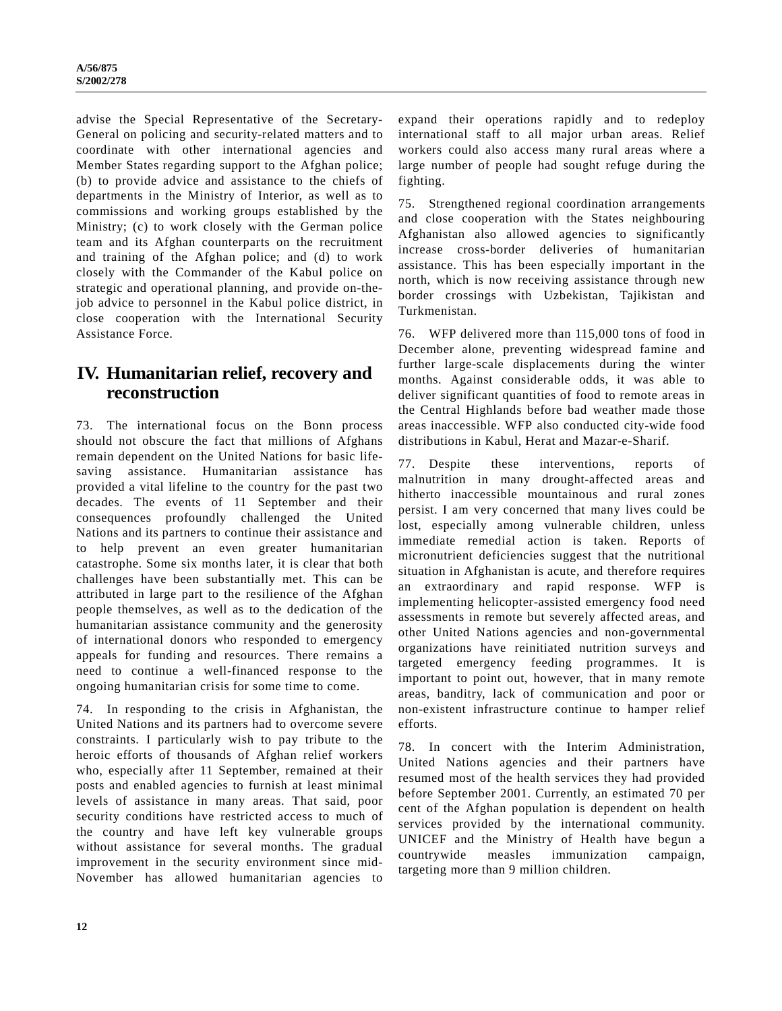advise the Special Representative of the Secretary-General on policing and security-related matters and to coordinate with other international agencies and Member States regarding support to the Afghan police; (b) to provide advice and assistance to the chiefs of departments in the Ministry of Interior, as well as to commissions and working groups established by the Ministry; (c) to work closely with the German police team and its Afghan counterparts on the recruitment and training of the Afghan police; and (d) to work closely with the Commander of the Kabul police on strategic and operational planning, and provide on-thejob advice to personnel in the Kabul police district, in close cooperation with the International Security Assistance Force.

# **IV. Humanitarian relief, recovery and reconstruction**

73. The international focus on the Bonn process should not obscure the fact that millions of Afghans remain dependent on the United Nations for basic lifesaving assistance. Humanitarian assistance has provided a vital lifeline to the country for the past two decades. The events of 11 September and their consequences profoundly challenged the United Nations and its partners to continue their assistance and to help prevent an even greater humanitarian catastrophe. Some six months later, it is clear that both challenges have been substantially met. This can be attributed in large part to the resilience of the Afghan people themselves, as well as to the dedication of the humanitarian assistance community and the generosity of international donors who responded to emergency appeals for funding and resources. There remains a need to continue a well-financed response to the ongoing humanitarian crisis for some time to come.

74. In responding to the crisis in Afghanistan, the United Nations and its partners had to overcome severe constraints. I particularly wish to pay tribute to the heroic efforts of thousands of Afghan relief workers who, especially after 11 September, remained at their posts and enabled agencies to furnish at least minimal levels of assistance in many areas. That said, poor security conditions have restricted access to much of the country and have left key vulnerable groups without assistance for several months. The gradual improvement in the security environment since mid-November has allowed humanitarian agencies to

expand their operations rapidly and to redeploy international staff to all major urban areas. Relief workers could also access many rural areas where a large number of people had sought refuge during the fighting.

75. Strengthened regional coordination arrangements and close cooperation with the States neighbouring Afghanistan also allowed agencies to significantly increase cross-border deliveries of humanitarian assistance. This has been especially important in the north, which is now receiving assistance through new border crossings with Uzbekistan, Tajikistan and Turkmenistan.

76. WFP delivered more than 115,000 tons of food in December alone, preventing widespread famine and further large-scale displacements during the winter months. Against considerable odds, it was able to deliver significant quantities of food to remote areas in the Central Highlands before bad weather made those areas inaccessible. WFP also conducted city-wide food distributions in Kabul, Herat and Mazar-e-Sharif.

77. Despite these interventions, reports of malnutrition in many drought-affected areas and hitherto inaccessible mountainous and rural zones persist. I am very concerned that many lives could be lost, especially among vulnerable children, unless immediate remedial action is taken. Reports of micronutrient deficiencies suggest that the nutritional situation in Afghanistan is acute, and therefore requires an extraordinary and rapid response. WFP is implementing helicopter-assisted emergency food need assessments in remote but severely affected areas, and other United Nations agencies and non-governmental organizations have reinitiated nutrition surveys and targeted emergency feeding programmes. It is important to point out, however, that in many remote areas, banditry, lack of communication and poor or non-existent infrastructure continue to hamper relief efforts.

78. In concert with the Interim Administration, United Nations agencies and their partners have resumed most of the health services they had provided before September 2001. Currently, an estimated 70 per cent of the Afghan population is dependent on health services provided by the international community. UNICEF and the Ministry of Health have begun a countrywide measles immunization campaign, targeting more than 9 million children.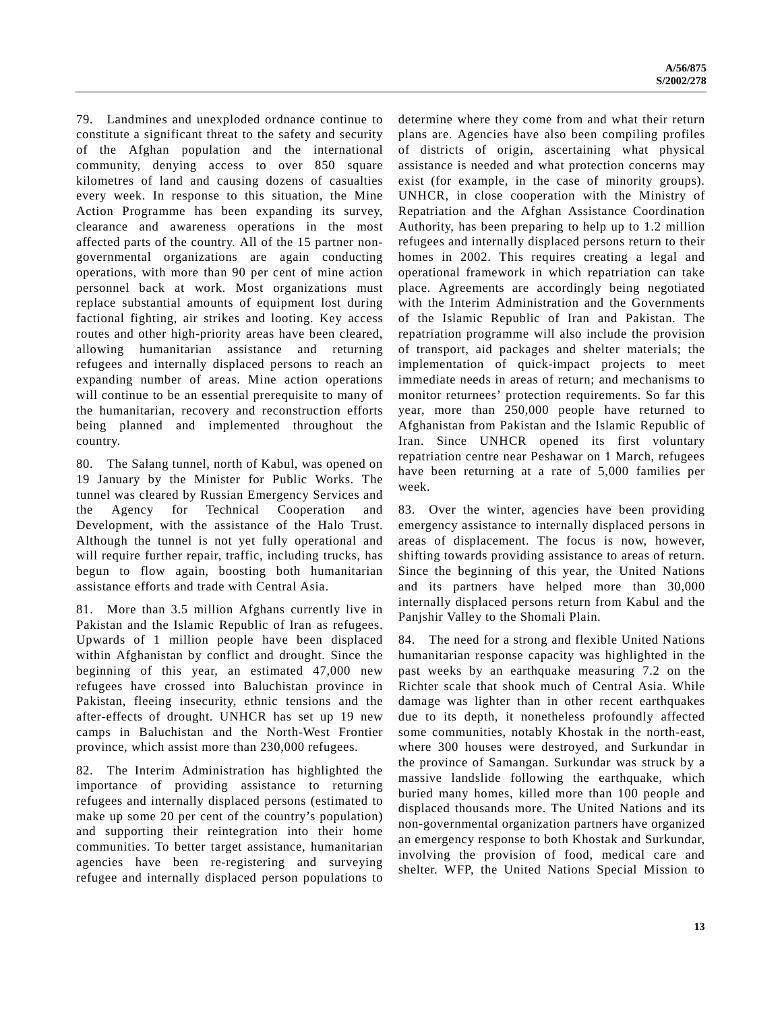79. Landmines and unexploded ordnance continue to constitute a significant threat to the safety and security of the Afghan population and the international community, denying access to over 850 square kilometres of land and causing dozens of casualties every week. In response to this situation, the Mine Action Programme has been expanding its survey, clearance and awareness operations in the most affected parts of the country. All of the 15 partner nongovernmental organizations are again conducting operations, with more than 90 per cent of mine action personnel back at work. Most organizations must replace substantial amounts of equipment lost during factional fighting, air strikes and looting. Key access routes and other high-priority areas have been cleared, allowing humanitarian assistance and returning refugees and internally displaced persons to reach an expanding number of areas. Mine action operations will continue to be an essential prerequisite to many of the humanitarian, recovery and reconstruction efforts being planned and implemented throughout the country.

80. The Salang tunnel, north of Kabul, was opened on 19 January by the Minister for Public Works. The tunnel was cleared by Russian Emergency Services and the Agency for Technical Cooperation and Development, with the assistance of the Halo Trust. Although the tunnel is not yet fully operational and will require further repair, traffic, including trucks, has begun to flow again, boosting both humanitarian assistance efforts and trade with Central Asia.

81. More than 3.5 million Afghans currently live in Pakistan and the Islamic Republic of Iran as refugees. Upwards of 1 million people have been displaced within Afghanistan by conflict and drought. Since the beginning of this year, an estimated 47,000 new refugees have crossed into Baluchistan province in Pakistan, fleeing insecurity, ethnic tensions and the after-effects of drought. UNHCR has set up 19 new camps in Baluchistan and the North-West Frontier province, which assist more than 230,000 refugees.

82. The Interim Administration has highlighted the importance of providing assistance to returning refugees and internally displaced persons (estimated to make up some 20 per cent of the country's population) and supporting their reintegration into their home communities. To better target assistance, humanitarian agencies have been re-registering and surveying refugee and internally displaced person populations to determine where they come from and what their return plans are. Agencies have also been compiling profiles of districts of origin, ascertaining what physical assistance is needed and what protection concerns may exist (for example, in the case of minority groups). UNHCR, in close cooperation with the Ministry of Repatriation and the Afghan Assistance Coordination Authority, has been preparing to help up to 1.2 million refugees and internally displaced persons return to their homes in 2002. This requires creating a legal and operational framework in which repatriation can take place. Agreements are accordingly being negotiated with the Interim Administration and the Governments of the Islamic Republic of Iran and Pakistan. The repatriation programme will also include the provision of transport, aid packages and shelter materials; the implementation of quick-impact projects to meet immediate needs in areas of return; and mechanisms to monitor returnees' protection requirements. So far this year, more than 250,000 people have returned to Afghanistan from Pakistan and the Islamic Republic of Iran. Since UNHCR opened its first voluntary repatriation centre near Peshawar on 1 March, refugees have been returning at a rate of 5,000 families per week.

83. Over the winter, agencies have been providing emergency assistance to internally displaced persons in areas of displacement. The focus is now, however, shifting towards providing assistance to areas of return. Since the beginning of this year, the United Nations and its partners have helped more than 30,000 internally displaced persons return from Kabul and the Panjshir Valley to the Shomali Plain.

84. The need for a strong and flexible United Nations humanitarian response capacity was highlighted in the past weeks by an earthquake measuring 7.2 on the Richter scale that shook much of Central Asia. While damage was lighter than in other recent earthquakes due to its depth, it nonetheless profoundly affected some communities, notably Khostak in the north-east, where 300 houses were destroyed, and Surkundar in the province of Samangan. Surkundar was struck by a massive landslide following the earthquake, which buried many homes, killed more than 100 people and displaced thousands more. The United Nations and its non-governmental organization partners have organized an emergency response to both Khostak and Surkundar, involving the provision of food, medical care and shelter. WFP, the United Nations Special Mission to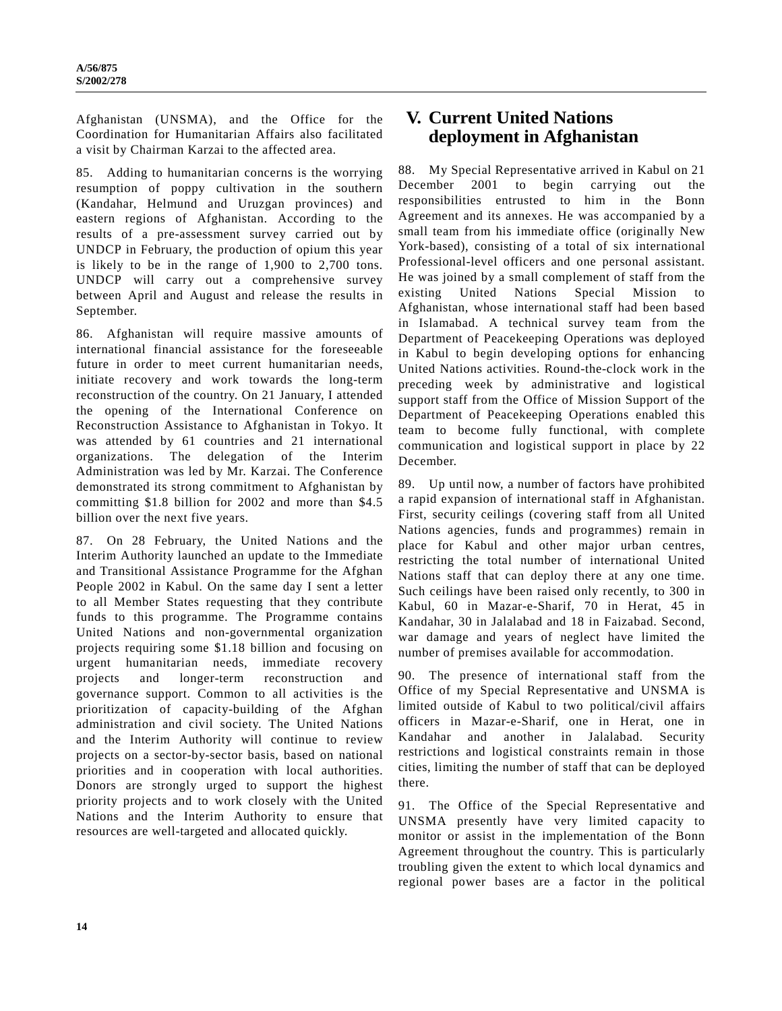Afghanistan (UNSMA), and the Office for the Coordination for Humanitarian Affairs also facilitated a visit by Chairman Karzai to the affected area.

85. Adding to humanitarian concerns is the worrying resumption of poppy cultivation in the southern (Kandahar, Helmund and Uruzgan provinces) and eastern regions of Afghanistan. According to the results of a pre-assessment survey carried out by UNDCP in February, the production of opium this year is likely to be in the range of 1,900 to 2,700 tons. UNDCP will carry out a comprehensive survey between April and August and release the results in September.

86. Afghanistan will require massive amounts of international financial assistance for the foreseeable future in order to meet current humanitarian needs, initiate recovery and work towards the long-term reconstruction of the country. On 21 January, I attended the opening of the International Conference on Reconstruction Assistance to Afghanistan in Tokyo. It was attended by 61 countries and 21 international organizations. The delegation of the Interim Administration was led by Mr. Karzai. The Conference demonstrated its strong commitment to Afghanistan by committing \$1.8 billion for 2002 and more than \$4.5 billion over the next five years.

87. On 28 February, the United Nations and the Interim Authority launched an update to the Immediate and Transitional Assistance Programme for the Afghan People 2002 in Kabul. On the same day I sent a letter to all Member States requesting that they contribute funds to this programme. The Programme contains United Nations and non-governmental organization projects requiring some \$1.18 billion and focusing on urgent humanitarian needs, immediate recovery projects and longer-term reconstruction and governance support. Common to all activities is the prioritization of capacity-building of the Afghan administration and civil society. The United Nations and the Interim Authority will continue to review projects on a sector-by-sector basis, based on national priorities and in cooperation with local authorities. Donors are strongly urged to support the highest priority projects and to work closely with the United Nations and the Interim Authority to ensure that resources are well-targeted and allocated quickly.

# **V. Current United Nations deployment in Afghanistan**

88. My Special Representative arrived in Kabul on 21 December 2001 to begin carrying out the responsibilities entrusted to him in the Bonn Agreement and its annexes. He was accompanied by a small team from his immediate office (originally New York-based), consisting of a total of six international Professional-level officers and one personal assistant. He was joined by a small complement of staff from the existing United Nations Special Mission Afghanistan, whose international staff had been based in Islamabad. A technical survey team from the Department of Peacekeeping Operations was deployed in Kabul to begin developing options for enhancing United Nations activities. Round-the-clock work in the preceding week by administrative and logistical support staff from the Office of Mission Support of the Department of Peacekeeping Operations enabled this team to become fully functional, with complete communication and logistical support in place by 22 December.

89. Up until now, a number of factors have prohibited a rapid expansion of international staff in Afghanistan. First, security ceilings (covering staff from all United Nations agencies, funds and programmes) remain in place for Kabul and other major urban centres, restricting the total number of international United Nations staff that can deploy there at any one time. Such ceilings have been raised only recently, to 300 in Kabul, 60 in Mazar-e-Sharif, 70 in Herat, 45 in Kandahar, 30 in Jalalabad and 18 in Faizabad. Second, war damage and years of neglect have limited the number of premises available for accommodation.

90. The presence of international staff from the Office of my Special Representative and UNSMA is limited outside of Kabul to two political/civil affairs officers in Mazar-e-Sharif, one in Herat, one in Kandahar and another in Jalalabad. Security restrictions and logistical constraints remain in those cities, limiting the number of staff that can be deployed there.

91. The Office of the Special Representative and UNSMA presently have very limited capacity to monitor or assist in the implementation of the Bonn Agreement throughout the country. This is particularly troubling given the extent to which local dynamics and regional power bases are a factor in the political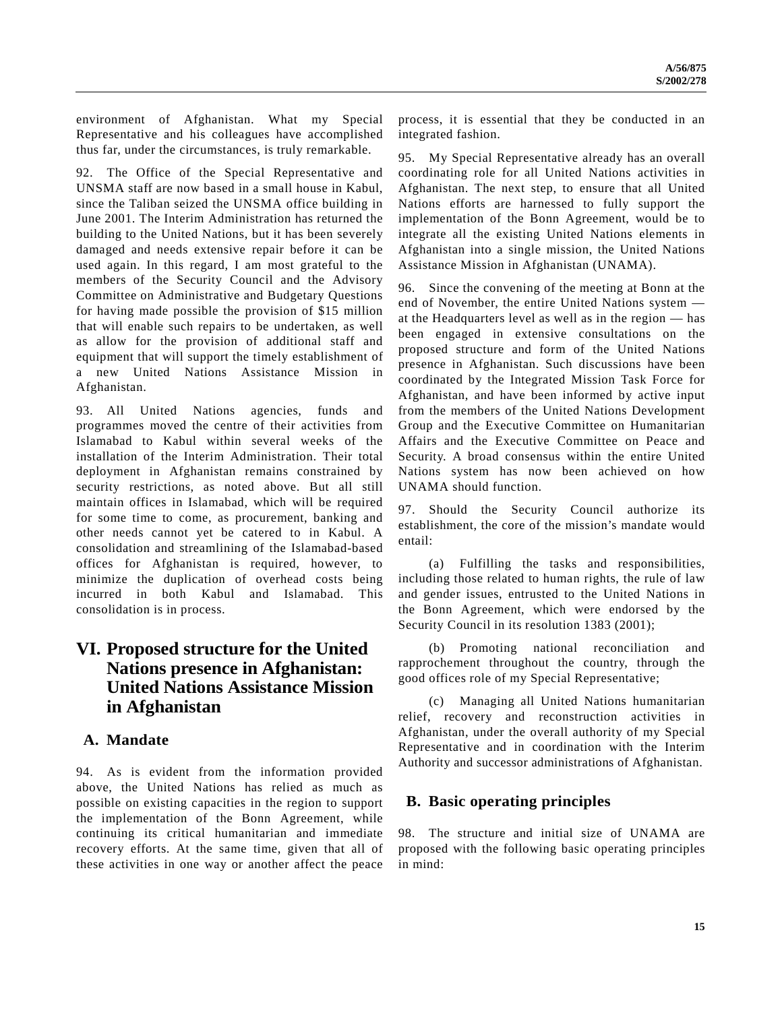environment of Afghanistan. What my Special Representative and his colleagues have accomplished thus far, under the circumstances, is truly remarkable.

92. The Office of the Special Representative and UNSMA staff are now based in a small house in Kabul, since the Taliban seized the UNSMA office building in June 2001. The Interim Administration has returned the building to the United Nations, but it has been severely damaged and needs extensive repair before it can be used again. In this regard, I am most grateful to the members of the Security Council and the Advisory Committee on Administrative and Budgetary Questions for having made possible the provision of \$15 million that will enable such repairs to be undertaken, as well as allow for the provision of additional staff and equipment that will support the timely establishment of a new United Nations Assistance Mission in Afghanistan.

93. All United Nations agencies, funds and programmes moved the centre of their activities from Islamabad to Kabul within several weeks of the installation of the Interim Administration. Their total deployment in Afghanistan remains constrained by security restrictions, as noted above. But all still maintain offices in Islamabad, which will be required for some time to come, as procurement, banking and other needs cannot yet be catered to in Kabul. A consolidation and streamlining of the Islamabad-based offices for Afghanistan is required, however, to minimize the duplication of overhead costs being incurred in both Kabul and Islamabad. This consolidation is in process.

# **VI. Proposed structure for the United Nations presence in Afghanistan: United Nations Assistance Mission in Afghanistan**

## **A. Mandate**

94. As is evident from the information provided above, the United Nations has relied as much as possible on existing capacities in the region to support the implementation of the Bonn Agreement, while continuing its critical humanitarian and immediate recovery efforts. At the same time, given that all of these activities in one way or another affect the peace

process, it is essential that they be conducted in an integrated fashion.

95. My Special Representative already has an overall coordinating role for all United Nations activities in Afghanistan. The next step, to ensure that all United Nations efforts are harnessed to fully support the implementation of the Bonn Agreement, would be to integrate all the existing United Nations elements in Afghanistan into a single mission, the United Nations Assistance Mission in Afghanistan (UNAMA).

96. Since the convening of the meeting at Bonn at the end of November, the entire United Nations system at the Headquarters level as well as in the region — has been engaged in extensive consultations on the proposed structure and form of the United Nations presence in Afghanistan. Such discussions have been coordinated by the Integrated Mission Task Force for Afghanistan, and have been informed by active input from the members of the United Nations Development Group and the Executive Committee on Humanitarian Affairs and the Executive Committee on Peace and Security. A broad consensus within the entire United Nations system has now been achieved on how UNAMA should function.

97. Should the Security Council authorize its establishment, the core of the mission's mandate would entail:

(a) Fulfilling the tasks and responsibilities, including those related to human rights, the rule of law and gender issues, entrusted to the United Nations in the Bonn Agreement, which were endorsed by the Security Council in its resolution 1383 (2001);

(b) Promoting national reconciliation and rapprochement throughout the country, through the good offices role of my Special Representative;

(c) Managing all United Nations humanitarian relief, recovery and reconstruction activities in Afghanistan, under the overall authority of my Special Representative and in coordination with the Interim Authority and successor administrations of Afghanistan.

## **B. Basic operating principles**

98. The structure and initial size of UNAMA are proposed with the following basic operating principles in mind: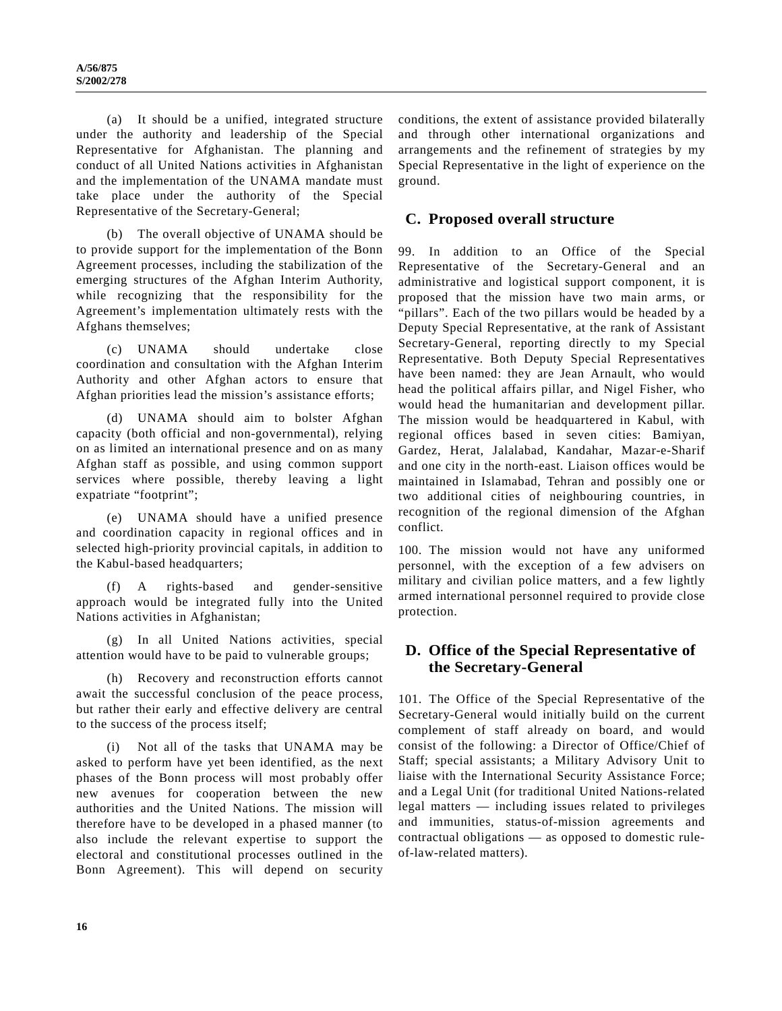(a) It should be a unified, integrated structure under the authority and leadership of the Special Representative for Afghanistan. The planning and conduct of all United Nations activities in Afghanistan and the implementation of the UNAMA mandate must take place under the authority of the Special Representative of the Secretary-General;

(b) The overall objective of UNAMA should be to provide support for the implementation of the Bonn Agreement processes, including the stabilization of the emerging structures of the Afghan Interim Authority, while recognizing that the responsibility for the Agreement's implementation ultimately rests with the Afghans themselves;

(c) UNAMA should undertake close coordination and consultation with the Afghan Interim Authority and other Afghan actors to ensure that Afghan priorities lead the mission's assistance efforts;

(d) UNAMA should aim to bolster Afghan capacity (both official and non-governmental), relying on as limited an international presence and on as many Afghan staff as possible, and using common support services where possible, thereby leaving a light expatriate "footprint";

(e) UNAMA should have a unified presence and coordination capacity in regional offices and in selected high-priority provincial capitals, in addition to the Kabul-based headquarters;

(f) A rights-based and gender-sensitive approach would be integrated fully into the United Nations activities in Afghanistan;

(g) In all United Nations activities, special attention would have to be paid to vulnerable groups;

(h) Recovery and reconstruction efforts cannot await the successful conclusion of the peace process, but rather their early and effective delivery are central to the success of the process itself;

(i) Not all of the tasks that UNAMA may be asked to perform have yet been identified, as the next phases of the Bonn process will most probably offer new avenues for cooperation between the new authorities and the United Nations. The mission will therefore have to be developed in a phased manner (to also include the relevant expertise to support the electoral and constitutional processes outlined in the Bonn Agreement). This will depend on security

conditions, the extent of assistance provided bilaterally and through other international organizations and arrangements and the refinement of strategies by my Special Representative in the light of experience on the ground.

## **C. Proposed overall structure**

99. In addition to an Office of the Special Representative of the Secretary-General and an administrative and logistical support component, it is proposed that the mission have two main arms, or "pillars". Each of the two pillars would be headed by a Deputy Special Representative, at the rank of Assistant Secretary-General, reporting directly to my Special Representative. Both Deputy Special Representatives have been named: they are Jean Arnault, who would head the political affairs pillar, and Nigel Fisher, who would head the humanitarian and development pillar. The mission would be headquartered in Kabul, with regional offices based in seven cities: Bamiyan, Gardez, Herat, Jalalabad, Kandahar, Mazar-e-Sharif and one city in the north-east. Liaison offices would be maintained in Islamabad, Tehran and possibly one or two additional cities of neighbouring countries, in recognition of the regional dimension of the Afghan conflict.

100. The mission would not have any uniformed personnel, with the exception of a few advisers on military and civilian police matters, and a few lightly armed international personnel required to provide close protection.

## **D. Office of the Special Representative of the Secretary-General**

101. The Office of the Special Representative of the Secretary-General would initially build on the current complement of staff already on board, and would consist of the following: a Director of Office/Chief of Staff; special assistants; a Military Advisory Unit to liaise with the International Security Assistance Force; and a Legal Unit (for traditional United Nations-related legal matters — including issues related to privileges and immunities, status-of-mission agreements and contractual obligations — as opposed to domestic ruleof-law-related matters).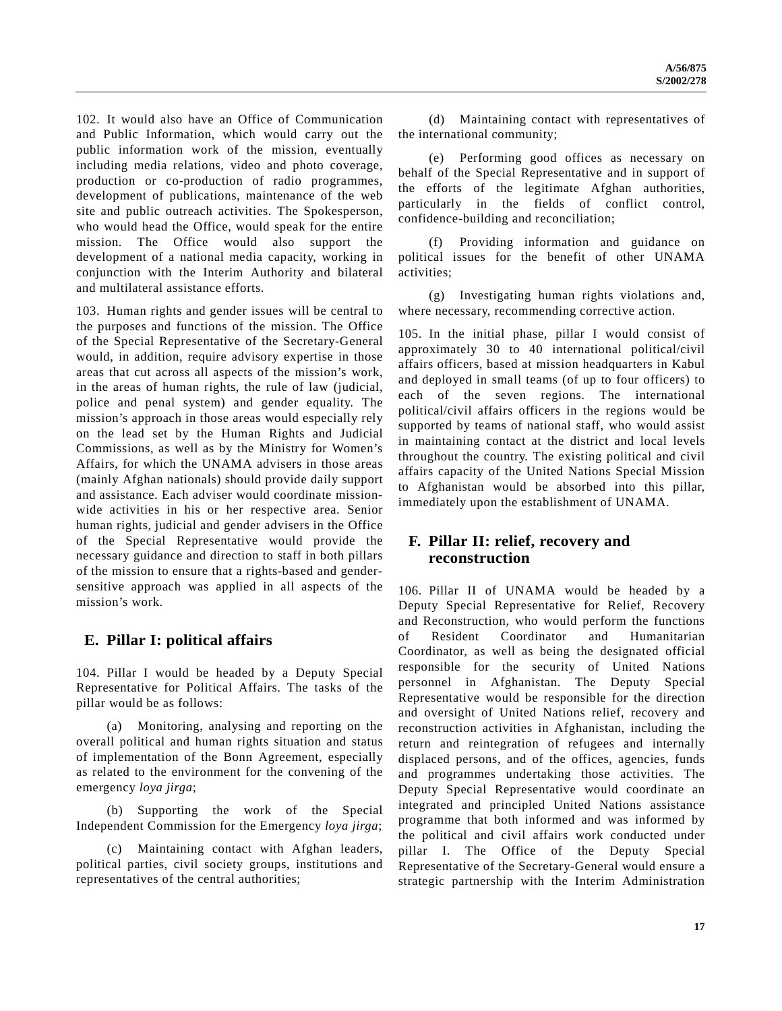102. It would also have an Office of Communication and Public Information, which would carry out the public information work of the mission, eventually including media relations, video and photo coverage, production or co-production of radio programmes, development of publications, maintenance of the web site and public outreach activities. The Spokesperson, who would head the Office, would speak for the entire mission. The Office would also support the development of a national media capacity, working in conjunction with the Interim Authority and bilateral and multilateral assistance efforts.

103. Human rights and gender issues will be central to the purposes and functions of the mission. The Office of the Special Representative of the Secretary-General would, in addition, require advisory expertise in those areas that cut across all aspects of the mission's work, in the areas of human rights, the rule of law (judicial, police and penal system) and gender equality. The mission's approach in those areas would especially rely on the lead set by the Human Rights and Judicial Commissions, as well as by the Ministry for Women's Affairs, for which the UNAMA advisers in those areas (mainly Afghan nationals) should provide daily support and assistance. Each adviser would coordinate missionwide activities in his or her respective area. Senior human rights, judicial and gender advisers in the Office of the Special Representative would provide the necessary guidance and direction to staff in both pillars of the mission to ensure that a rights-based and gendersensitive approach was applied in all aspects of the mission's work.

## **E. Pillar I: political affairs**

104. Pillar I would be headed by a Deputy Special Representative for Political Affairs. The tasks of the pillar would be as follows:

(a) Monitoring, analysing and reporting on the overall political and human rights situation and status of implementation of the Bonn Agreement, especially as related to the environment for the convening of the emergency *loya jirga*;

(b) Supporting the work of the Special Independent Commission for the Emergency *loya jirga*;

(c) Maintaining contact with Afghan leaders, political parties, civil society groups, institutions and representatives of the central authorities;

(d) Maintaining contact with representatives of the international community;

(e) Performing good offices as necessary on behalf of the Special Representative and in support of the efforts of the legitimate Afghan authorities, particularly in the fields of conflict control, confidence-building and reconciliation;

(f) Providing information and guidance on political issues for the benefit of other UNAMA activities;

(g) Investigating human rights violations and, where necessary, recommending corrective action.

105. In the initial phase, pillar I would consist of approximately 30 to 40 international political/civil affairs officers, based at mission headquarters in Kabul and deployed in small teams (of up to four officers) to each of the seven regions. The international political/civil affairs officers in the regions would be supported by teams of national staff, who would assist in maintaining contact at the district and local levels throughout the country. The existing political and civil affairs capacity of the United Nations Special Mission to Afghanistan would be absorbed into this pillar, immediately upon the establishment of UNAMA.

## **F. Pillar II: relief, recovery and reconstruction**

106. Pillar II of UNAMA would be headed by a Deputy Special Representative for Relief, Recovery and Reconstruction, who would perform the functions of Resident Coordinator and Humanitarian Coordinator, as well as being the designated official responsible for the security of United Nations personnel in Afghanistan. The Deputy Special Representative would be responsible for the direction and oversight of United Nations relief, recovery and reconstruction activities in Afghanistan, including the return and reintegration of refugees and internally displaced persons, and of the offices, agencies, funds and programmes undertaking those activities. The Deputy Special Representative would coordinate an integrated and principled United Nations assistance programme that both informed and was informed by the political and civil affairs work conducted under pillar I. The Office of the Deputy Special Representative of the Secretary-General would ensure a strategic partnership with the Interim Administration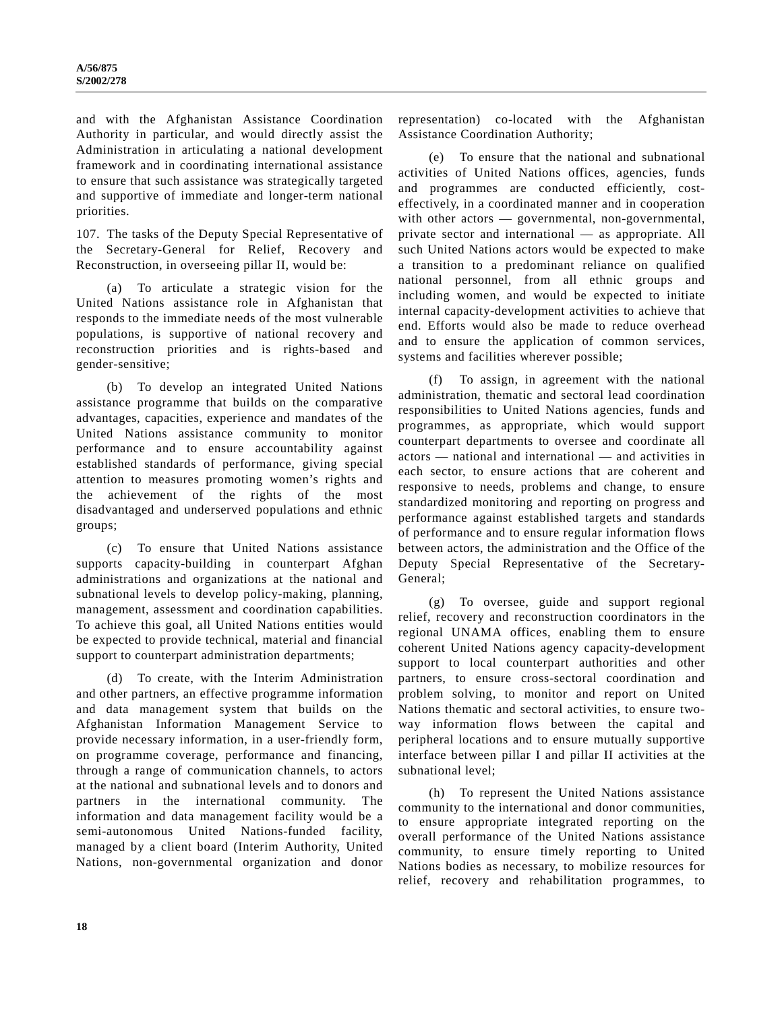and with the Afghanistan Assistance Coordination Authority in particular, and would directly assist the Administration in articulating a national development framework and in coordinating international assistance to ensure that such assistance was strategically targeted and supportive of immediate and longer-term national priorities.

107. The tasks of the Deputy Special Representative of the Secretary-General for Relief, Recovery and Reconstruction, in overseeing pillar II, would be:

(a) To articulate a strategic vision for the United Nations assistance role in Afghanistan that responds to the immediate needs of the most vulnerable populations, is supportive of national recovery and reconstruction priorities and is rights-based and gender-sensitive;

(b) To develop an integrated United Nations assistance programme that builds on the comparative advantages, capacities, experience and mandates of the United Nations assistance community to monitor performance and to ensure accountability against established standards of performance, giving special attention to measures promoting women's rights and the achievement of the rights of the most disadvantaged and underserved populations and ethnic groups;

(c) To ensure that United Nations assistance supports capacity-building in counterpart Afghan administrations and organizations at the national and subnational levels to develop policy-making, planning, management, assessment and coordination capabilities. To achieve this goal, all United Nations entities would be expected to provide technical, material and financial support to counterpart administration departments;

(d) To create, with the Interim Administration and other partners, an effective programme information and data management system that builds on the Afghanistan Information Management Service to provide necessary information, in a user-friendly form, on programme coverage, performance and financing, through a range of communication channels, to actors at the national and subnational levels and to donors and partners in the international community. The information and data management facility would be a semi-autonomous United Nations-funded facility, managed by a client board (Interim Authority, United Nations, non-governmental organization and donor

representation) co-located with the Afghanistan Assistance Coordination Authority;

(e) To ensure that the national and subnational activities of United Nations offices, agencies, funds and programmes are conducted efficiently, costeffectively, in a coordinated manner and in cooperation with other actors — governmental, non-governmental, private sector and international — as appropriate. All such United Nations actors would be expected to make a transition to a predominant reliance on qualified national personnel, from all ethnic groups and including women, and would be expected to initiate internal capacity-development activities to achieve that end. Efforts would also be made to reduce overhead and to ensure the application of common services, systems and facilities wherever possible;

(f) To assign, in agreement with the national administration, thematic and sectoral lead coordination responsibilities to United Nations agencies, funds and programmes, as appropriate, which would support counterpart departments to oversee and coordinate all actors — national and international — and activities in each sector, to ensure actions that are coherent and responsive to needs, problems and change, to ensure standardized monitoring and reporting on progress and performance against established targets and standards of performance and to ensure regular information flows between actors, the administration and the Office of the Deputy Special Representative of the Secretary-General;

(g) To oversee, guide and support regional relief, recovery and reconstruction coordinators in the regional UNAMA offices, enabling them to ensure coherent United Nations agency capacity-development support to local counterpart authorities and other partners, to ensure cross-sectoral coordination and problem solving, to monitor and report on United Nations thematic and sectoral activities, to ensure twoway information flows between the capital and peripheral locations and to ensure mutually supportive interface between pillar I and pillar II activities at the subnational level;

(h) To represent the United Nations assistance community to the international and donor communities, to ensure appropriate integrated reporting on the overall performance of the United Nations assistance community, to ensure timely reporting to United Nations bodies as necessary, to mobilize resources for relief, recovery and rehabilitation programmes, to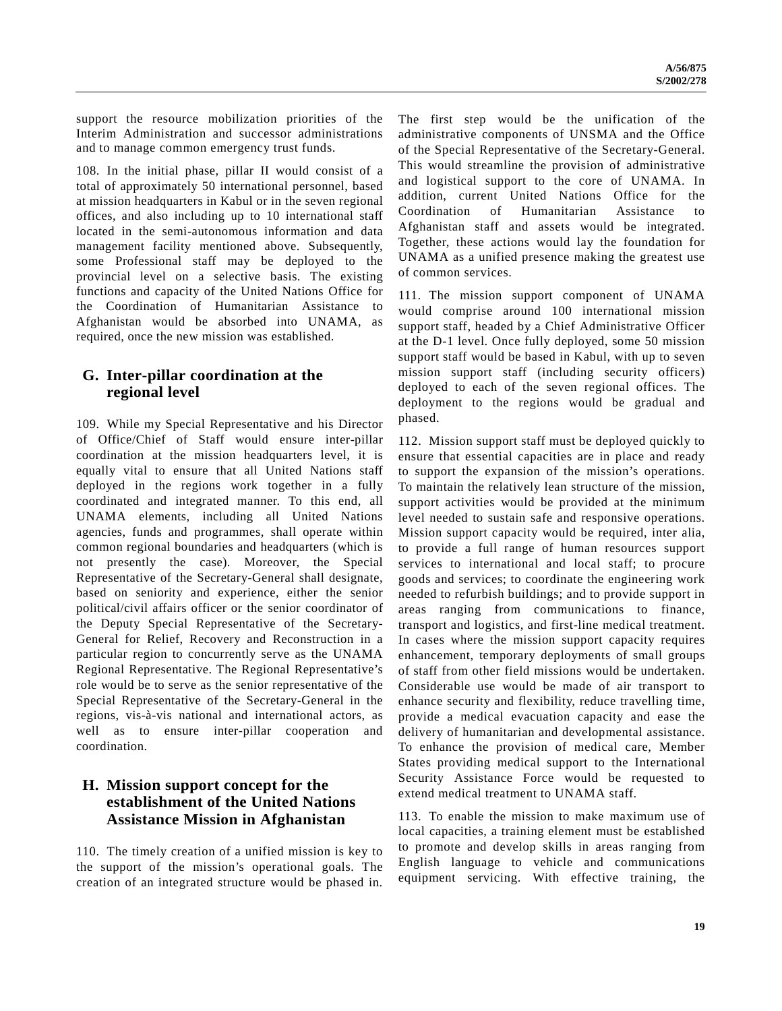support the resource mobilization priorities of the Interim Administration and successor administrations and to manage common emergency trust funds.

108. In the initial phase, pillar II would consist of a total of approximately 50 international personnel, based at mission headquarters in Kabul or in the seven regional offices, and also including up to 10 international staff located in the semi-autonomous information and data management facility mentioned above. Subsequently, some Professional staff may be deployed to the provincial level on a selective basis. The existing functions and capacity of the United Nations Office for the Coordination of Humanitarian Assistance to Afghanistan would be absorbed into UNAMA, as required, once the new mission was established.

## **G. Inter-pillar coordination at the regional level**

109. While my Special Representative and his Director of Office/Chief of Staff would ensure inter-pillar coordination at the mission headquarters level, it is equally vital to ensure that all United Nations staff deployed in the regions work together in a fully coordinated and integrated manner. To this end, all UNAMA elements, including all United Nations agencies, funds and programmes, shall operate within common regional boundaries and headquarters (which is not presently the case). Moreover, the Special Representative of the Secretary-General shall designate, based on seniority and experience, either the senior political/civil affairs officer or the senior coordinator of the Deputy Special Representative of the Secretary-General for Relief, Recovery and Reconstruction in a particular region to concurrently serve as the UNAMA Regional Representative. The Regional Representative's role would be to serve as the senior representative of the Special Representative of the Secretary-General in the regions, vis-à-vis national and international actors, as well as to ensure inter-pillar cooperation and coordination.

## **H. Mission support concept for the establishment of the United Nations Assistance Mission in Afghanistan**

110. The timely creation of a unified mission is key to the support of the mission's operational goals. The creation of an integrated structure would be phased in. The first step would be the unification of the administrative components of UNSMA and the Office of the Special Representative of the Secretary-General. This would streamline the provision of administrative and logistical support to the core of UNAMA. In addition, current United Nations Office for the Coordination of Humanitarian Assistance to Afghanistan staff and assets would be integrated. Together, these actions would lay the foundation for UNAMA as a unified presence making the greatest use of common services.

111. The mission support component of UNAMA would comprise around 100 international mission support staff, headed by a Chief Administrative Officer at the D-1 level. Once fully deployed, some 50 mission support staff would be based in Kabul, with up to seven mission support staff (including security officers) deployed to each of the seven regional offices. The deployment to the regions would be gradual and phased.

112. Mission support staff must be deployed quickly to ensure that essential capacities are in place and ready to support the expansion of the mission's operations. To maintain the relatively lean structure of the mission, support activities would be provided at the minimum level needed to sustain safe and responsive operations. Mission support capacity would be required, inter alia, to provide a full range of human resources support services to international and local staff; to procure goods and services; to coordinate the engineering work needed to refurbish buildings; and to provide support in areas ranging from communications to finance, transport and logistics, and first-line medical treatment. In cases where the mission support capacity requires enhancement, temporary deployments of small groups of staff from other field missions would be undertaken. Considerable use would be made of air transport to enhance security and flexibility, reduce travelling time, provide a medical evacuation capacity and ease the delivery of humanitarian and developmental assistance. To enhance the provision of medical care, Member States providing medical support to the International Security Assistance Force would be requested to extend medical treatment to UNAMA staff.

113. To enable the mission to make maximum use of local capacities, a training element must be established to promote and develop skills in areas ranging from English language to vehicle and communications equipment servicing. With effective training, the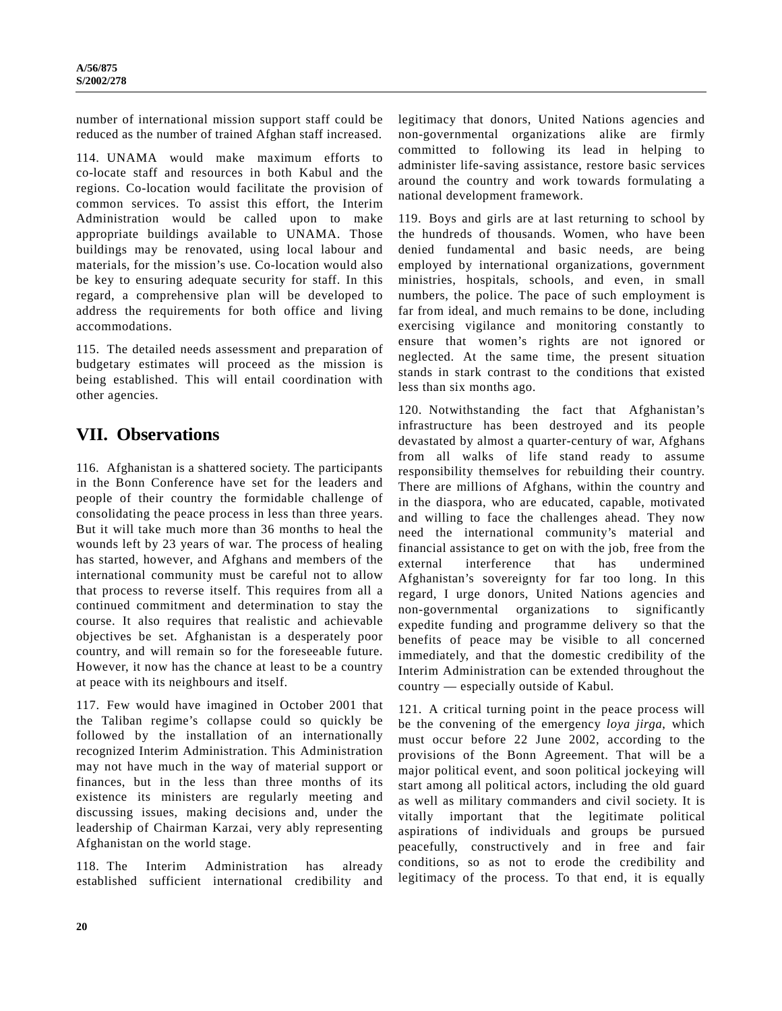number of international mission support staff could be reduced as the number of trained Afghan staff increased.

114. UNAMA would make maximum efforts to co-locate staff and resources in both Kabul and the regions. Co-location would facilitate the provision of common services. To assist this effort, the Interim Administration would be called upon to make appropriate buildings available to UNAMA. Those buildings may be renovated, using local labour and materials, for the mission's use. Co-location would also be key to ensuring adequate security for staff. In this regard, a comprehensive plan will be developed to address the requirements for both office and living accommodations.

115. The detailed needs assessment and preparation of budgetary estimates will proceed as the mission is being established. This will entail coordination with other agencies.

# **VII. Observations**

116. Afghanistan is a shattered society. The participants in the Bonn Conference have set for the leaders and people of their country the formidable challenge of consolidating the peace process in less than three years. But it will take much more than 36 months to heal the wounds left by 23 years of war. The process of healing has started, however, and Afghans and members of the international community must be careful not to allow that process to reverse itself. This requires from all a continued commitment and determination to stay the course. It also requires that realistic and achievable objectives be set. Afghanistan is a desperately poor country, and will remain so for the foreseeable future. However, it now has the chance at least to be a country at peace with its neighbours and itself.

117. Few would have imagined in October 2001 that the Taliban regime's collapse could so quickly be followed by the installation of an internationally recognized Interim Administration. This Administration may not have much in the way of material support or finances, but in the less than three months of its existence its ministers are regularly meeting and discussing issues, making decisions and, under the leadership of Chairman Karzai, very ably representing Afghanistan on the world stage.

118. The Interim Administration has already established sufficient international credibility and legitimacy that donors, United Nations agencies and non-governmental organizations alike are firmly committed to following its lead in helping to administer life-saving assistance, restore basic services around the country and work towards formulating a national development framework.

119. Boys and girls are at last returning to school by the hundreds of thousands. Women, who have been denied fundamental and basic needs, are being employed by international organizations, government ministries, hospitals, schools, and even, in small numbers, the police. The pace of such employment is far from ideal, and much remains to be done, including exercising vigilance and monitoring constantly to ensure that women's rights are not ignored or neglected. At the same time, the present situation stands in stark contrast to the conditions that existed less than six months ago.

120. Notwithstanding the fact that Afghanistan's infrastructure has been destroyed and its people devastated by almost a quarter-century of war, Afghans from all walks of life stand ready to assume responsibility themselves for rebuilding their country. There are millions of Afghans, within the country and in the diaspora, who are educated, capable, motivated and willing to face the challenges ahead. They now need the international community's material and financial assistance to get on with the job, free from the external interference that has undermined Afghanistan's sovereignty for far too long. In this regard, I urge donors, United Nations agencies and non-governmental organizations to significantly expedite funding and programme delivery so that the benefits of peace may be visible to all concerned immediately, and that the domestic credibility of the Interim Administration can be extended throughout the country — especially outside of Kabul.

121. A critical turning point in the peace process will be the convening of the emergency *loya jirga*, which must occur before 22 June 2002, according to the provisions of the Bonn Agreement. That will be a major political event, and soon political jockeying will start among all political actors, including the old guard as well as military commanders and civil society. It is vitally important that the legitimate political aspirations of individuals and groups be pursued peacefully, constructively and in free and fair conditions, so as not to erode the credibility and legitimacy of the process. To that end, it is equally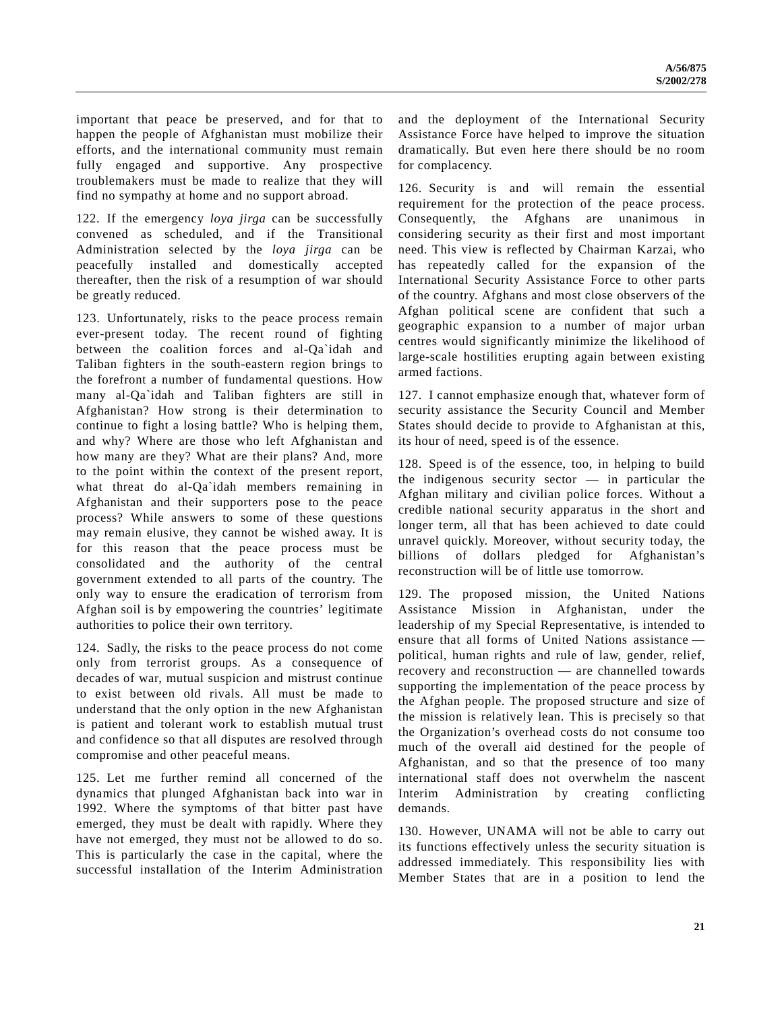important that peace be preserved, and for that to happen the people of Afghanistan must mobilize their efforts, and the international community must remain fully engaged and supportive. Any prospective troublemakers must be made to realize that they will find no sympathy at home and no support abroad.

122. If the emergency *loya jirga* can be successfully convened as scheduled, and if the Transitional Administration selected by the *loya jirga* can be peacefully installed and domestically accepted thereafter, then the risk of a resumption of war should be greatly reduced.

123. Unfortunately, risks to the peace process remain ever-present today. The recent round of fighting between the coalition forces and al-Qa`idah and Taliban fighters in the south-eastern region brings to the forefront a number of fundamental questions. How many al-Qa`idah and Taliban fighters are still in Afghanistan? How strong is their determination to continue to fight a losing battle? Who is helping them, and why? Where are those who left Afghanistan and how many are they? What are their plans? And, more to the point within the context of the present report, what threat do al-Qa`idah members remaining in Afghanistan and their supporters pose to the peace process? While answers to some of these questions may remain elusive, they cannot be wished away. It is for this reason that the peace process must be consolidated and the authority of the central government extended to all parts of the country. The only way to ensure the eradication of terrorism from Afghan soil is by empowering the countries' legitimate authorities to police their own territory.

124. Sadly, the risks to the peace process do not come only from terrorist groups. As a consequence of decades of war, mutual suspicion and mistrust continue to exist between old rivals. All must be made to understand that the only option in the new Afghanistan is patient and tolerant work to establish mutual trust and confidence so that all disputes are resolved through compromise and other peaceful means.

125. Let me further remind all concerned of the dynamics that plunged Afghanistan back into war in 1992. Where the symptoms of that bitter past have emerged, they must be dealt with rapidly. Where they have not emerged, they must not be allowed to do so. This is particularly the case in the capital, where the successful installation of the Interim Administration and the deployment of the International Security Assistance Force have helped to improve the situation dramatically. But even here there should be no room for complacency.

126. Security is and will remain the essential requirement for the protection of the peace process. Consequently, the Afghans are unanimous in considering security as their first and most important need. This view is reflected by Chairman Karzai, who has repeatedly called for the expansion of the International Security Assistance Force to other parts of the country. Afghans and most close observers of the Afghan political scene are confident that such a geographic expansion to a number of major urban centres would significantly minimize the likelihood of large-scale hostilities erupting again between existing armed factions.

127. I cannot emphasize enough that, whatever form of security assistance the Security Council and Member States should decide to provide to Afghanistan at this, its hour of need, speed is of the essence.

128. Speed is of the essence, too, in helping to build the indigenous security sector — in particular the Afghan military and civilian police forces. Without a credible national security apparatus in the short and longer term, all that has been achieved to date could unravel quickly. Moreover, without security today, the billions of dollars pledged for Afghanistan's reconstruction will be of little use tomorrow.

129. The proposed mission, the United Nations Assistance Mission in Afghanistan, under the leadership of my Special Representative, is intended to ensure that all forms of United Nations assistance political, human rights and rule of law, gender, relief, recovery and reconstruction — are channelled towards supporting the implementation of the peace process by the Afghan people. The proposed structure and size of the mission is relatively lean. This is precisely so that the Organization's overhead costs do not consume too much of the overall aid destined for the people of Afghanistan, and so that the presence of too many international staff does not overwhelm the nascent Interim Administration by creating conflicting demands.

130. However, UNAMA will not be able to carry out its functions effectively unless the security situation is addressed immediately. This responsibility lies with Member States that are in a position to lend the